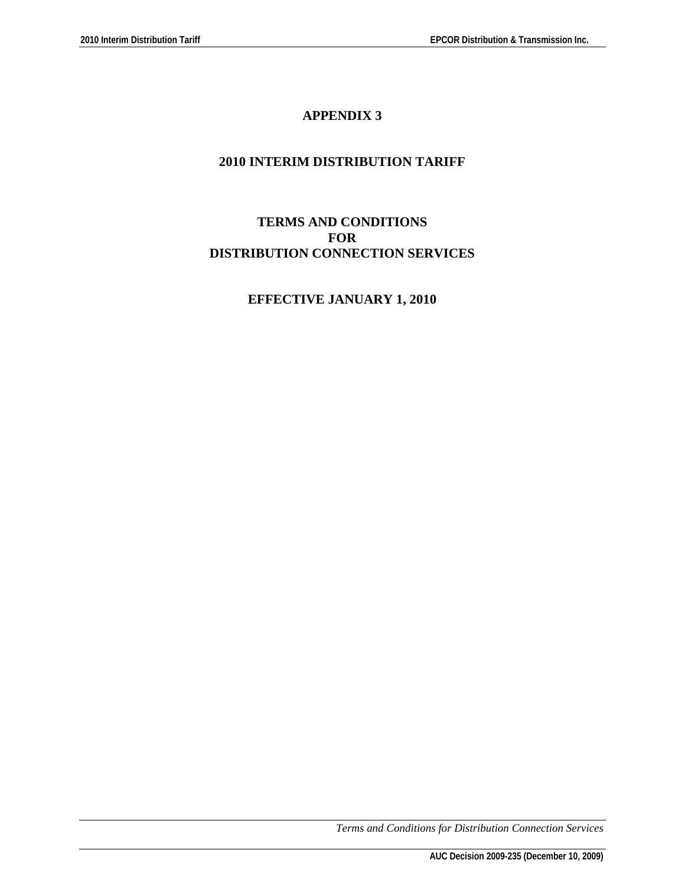# **APPENDIX 3**

# **2010 INTERIM DISTRIBUTION TARIFF**

# **TERMS AND CONDITIONS FOR DISTRIBUTION CONNECTION SERVICES**

# **EFFECTIVE JANUARY 1, 2010**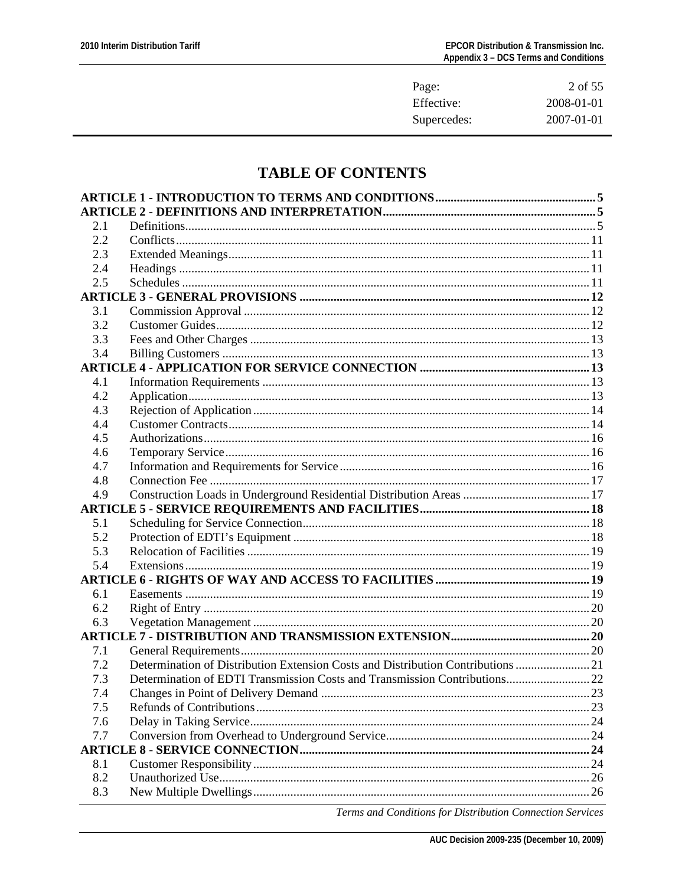| Page:       | 2 of 55    |
|-------------|------------|
| Effective:  | 2008-01-01 |
| Supercedes: | 2007-01-01 |

# **TABLE OF CONTENTS**

| 2.1<br>2.2<br>2.3<br>2.4<br>2.5<br>3.1<br>3.2<br>3.3<br>3.4<br>4.1<br>4.2<br>4.3<br>4.4<br>4.5<br>4.6<br>4.7<br>4.8<br>4.9<br>5.1<br>5.2<br>5.3<br>5.4<br>6.1<br>6.2<br>6.3<br>7.1<br>Determination of Distribution Extension Costs and Distribution Contributions  21<br>7.2<br>Determination of EDTI Transmission Costs and Transmission Contributions 22<br>7.3<br>Changes in Point of Delivery Demand<br>23<br>7.4<br>7.5<br>7.6<br>7.7<br>8.1<br>8.2<br>8.3 |  |  |
|------------------------------------------------------------------------------------------------------------------------------------------------------------------------------------------------------------------------------------------------------------------------------------------------------------------------------------------------------------------------------------------------------------------------------------------------------------------|--|--|
|                                                                                                                                                                                                                                                                                                                                                                                                                                                                  |  |  |
|                                                                                                                                                                                                                                                                                                                                                                                                                                                                  |  |  |
|                                                                                                                                                                                                                                                                                                                                                                                                                                                                  |  |  |
|                                                                                                                                                                                                                                                                                                                                                                                                                                                                  |  |  |
|                                                                                                                                                                                                                                                                                                                                                                                                                                                                  |  |  |
|                                                                                                                                                                                                                                                                                                                                                                                                                                                                  |  |  |
|                                                                                                                                                                                                                                                                                                                                                                                                                                                                  |  |  |
|                                                                                                                                                                                                                                                                                                                                                                                                                                                                  |  |  |
|                                                                                                                                                                                                                                                                                                                                                                                                                                                                  |  |  |
|                                                                                                                                                                                                                                                                                                                                                                                                                                                                  |  |  |
|                                                                                                                                                                                                                                                                                                                                                                                                                                                                  |  |  |
|                                                                                                                                                                                                                                                                                                                                                                                                                                                                  |  |  |
|                                                                                                                                                                                                                                                                                                                                                                                                                                                                  |  |  |
|                                                                                                                                                                                                                                                                                                                                                                                                                                                                  |  |  |
|                                                                                                                                                                                                                                                                                                                                                                                                                                                                  |  |  |
|                                                                                                                                                                                                                                                                                                                                                                                                                                                                  |  |  |
|                                                                                                                                                                                                                                                                                                                                                                                                                                                                  |  |  |
|                                                                                                                                                                                                                                                                                                                                                                                                                                                                  |  |  |
|                                                                                                                                                                                                                                                                                                                                                                                                                                                                  |  |  |
|                                                                                                                                                                                                                                                                                                                                                                                                                                                                  |  |  |
|                                                                                                                                                                                                                                                                                                                                                                                                                                                                  |  |  |
|                                                                                                                                                                                                                                                                                                                                                                                                                                                                  |  |  |
|                                                                                                                                                                                                                                                                                                                                                                                                                                                                  |  |  |
|                                                                                                                                                                                                                                                                                                                                                                                                                                                                  |  |  |
|                                                                                                                                                                                                                                                                                                                                                                                                                                                                  |  |  |
|                                                                                                                                                                                                                                                                                                                                                                                                                                                                  |  |  |
|                                                                                                                                                                                                                                                                                                                                                                                                                                                                  |  |  |
|                                                                                                                                                                                                                                                                                                                                                                                                                                                                  |  |  |
|                                                                                                                                                                                                                                                                                                                                                                                                                                                                  |  |  |
|                                                                                                                                                                                                                                                                                                                                                                                                                                                                  |  |  |
|                                                                                                                                                                                                                                                                                                                                                                                                                                                                  |  |  |
|                                                                                                                                                                                                                                                                                                                                                                                                                                                                  |  |  |
|                                                                                                                                                                                                                                                                                                                                                                                                                                                                  |  |  |
|                                                                                                                                                                                                                                                                                                                                                                                                                                                                  |  |  |
|                                                                                                                                                                                                                                                                                                                                                                                                                                                                  |  |  |
|                                                                                                                                                                                                                                                                                                                                                                                                                                                                  |  |  |
|                                                                                                                                                                                                                                                                                                                                                                                                                                                                  |  |  |
|                                                                                                                                                                                                                                                                                                                                                                                                                                                                  |  |  |
|                                                                                                                                                                                                                                                                                                                                                                                                                                                                  |  |  |
|                                                                                                                                                                                                                                                                                                                                                                                                                                                                  |  |  |
|                                                                                                                                                                                                                                                                                                                                                                                                                                                                  |  |  |
|                                                                                                                                                                                                                                                                                                                                                                                                                                                                  |  |  |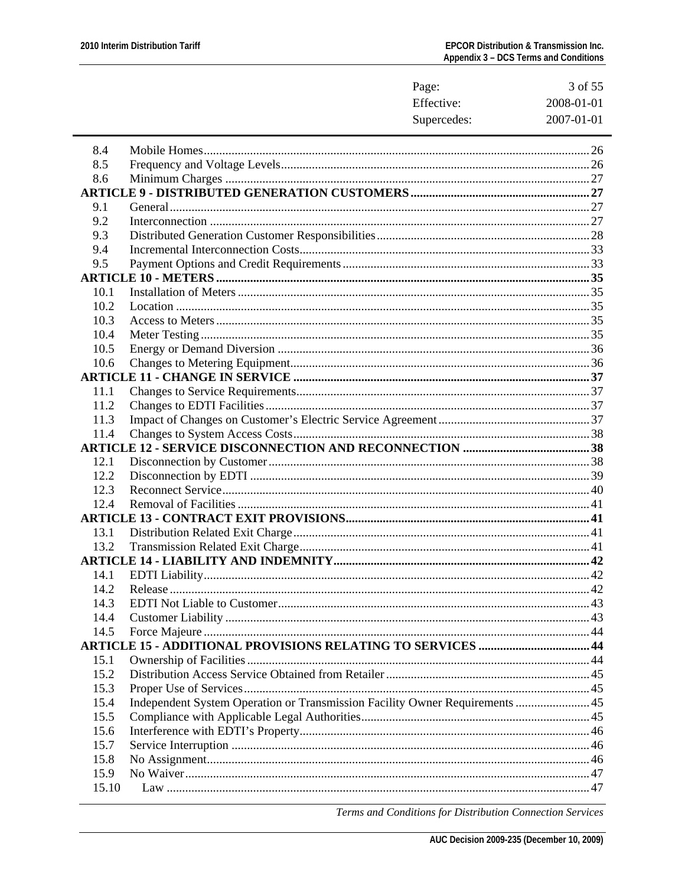|       | Page:                                                                        | 3 of 55    |
|-------|------------------------------------------------------------------------------|------------|
|       | Effective:                                                                   | 2008-01-01 |
|       | Supercedes:                                                                  | 2007-01-01 |
| 8.4   |                                                                              |            |
| 8.5   |                                                                              |            |
| 8.6   |                                                                              |            |
|       |                                                                              |            |
| 9.1   |                                                                              |            |
| 9.2   |                                                                              |            |
| 9.3   |                                                                              |            |
| 9.4   |                                                                              |            |
| 9.5   |                                                                              |            |
|       |                                                                              |            |
| 10.1  |                                                                              |            |
| 10.2  |                                                                              |            |
| 10.3  |                                                                              |            |
| 10.4  |                                                                              |            |
| 10.5  |                                                                              |            |
| 10.6  |                                                                              |            |
|       |                                                                              |            |
| 11.1  |                                                                              |            |
| 11.2  |                                                                              |            |
| 11.3  |                                                                              |            |
| 11.4  |                                                                              |            |
|       |                                                                              |            |
| 12.1  |                                                                              |            |
| 12.2  |                                                                              |            |
| 12.3  |                                                                              |            |
| 12.4  |                                                                              |            |
|       |                                                                              |            |
| 13.1  |                                                                              |            |
| 13.2  |                                                                              |            |
|       |                                                                              |            |
| 14.1  | <b>EDTI</b> Liability                                                        |            |
| 14.2  |                                                                              |            |
| 14.3  |                                                                              |            |
| 14.4  |                                                                              |            |
| 14.5  |                                                                              |            |
|       | <b>ARTICLE 15 - ADDITIONAL PROVISIONS RELATING TO SERVICES  44</b>           |            |
| 15.1  |                                                                              |            |
| 15.2  |                                                                              |            |
| 15.3  |                                                                              |            |
| 15.4  | Independent System Operation or Transmission Facility Owner Requirements  45 |            |
| 15.5  |                                                                              |            |
| 15.6  |                                                                              |            |
| 15.7  |                                                                              |            |
| 15.8  |                                                                              |            |
| 15.9  |                                                                              |            |
| 15.10 |                                                                              |            |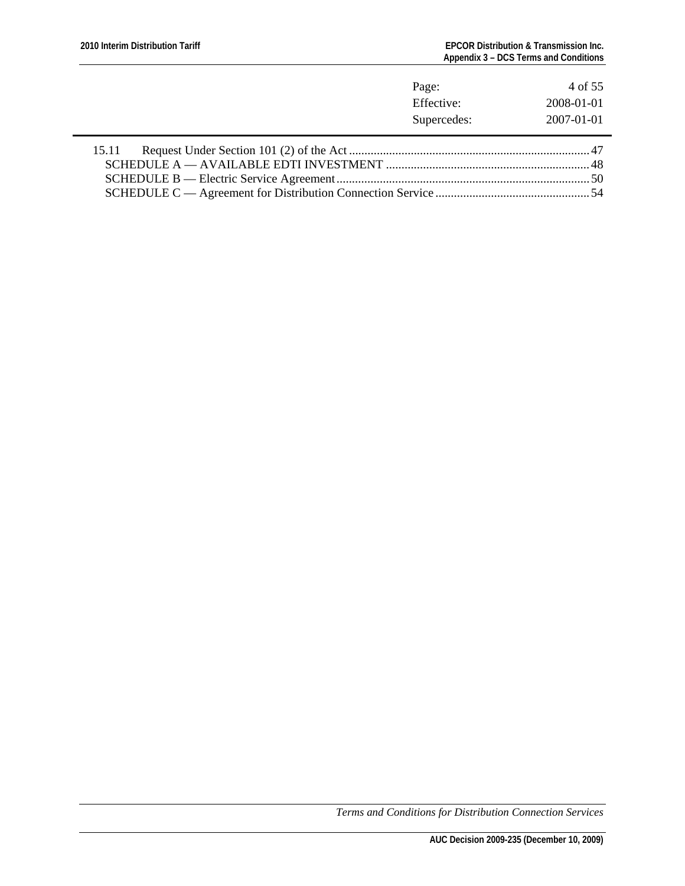|       | Page:                     | 4 of 55                  |
|-------|---------------------------|--------------------------|
|       | Effective:<br>Supercedes: | 2008-01-01<br>2007-01-01 |
| 15.11 |                           |                          |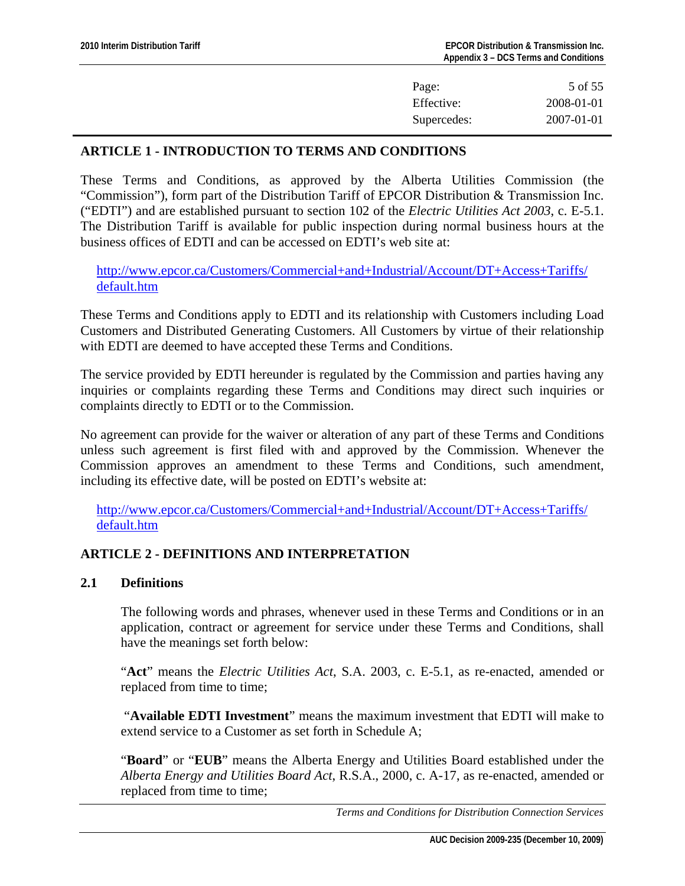| Page:       | 5 of 55          |
|-------------|------------------|
| Effective:  | 2008-01-01       |
| Supercedes: | $2007 - 01 - 01$ |

# <span id="page-4-0"></span>**ARTICLE 1 - INTRODUCTION TO TERMS AND CONDITIONS**

These Terms and Conditions, as approved by the Alberta Utilities Commission (the "Commission"), form part of the Distribution Tariff of EPCOR Distribution & Transmission Inc. ("EDTI") and are established pursuant to section 102 of the *Electric Utilities Act 2003*, c. E-5.1. The Distribution Tariff is available for public inspection during normal business hours at the business offices of EDTI and can be accessed on EDTI's web site at:

[http://www.epcor.ca/Customers/Commercial+and+Industrial/Account/DT+Access+Tariffs/](http://www.epcor.ca/Customers/Commercial+and+Industrial/Account/DT+Access+Tariffs/default.htm) [default.htm](http://www.epcor.ca/Customers/Commercial+and+Industrial/Account/DT+Access+Tariffs/default.htm)

These Terms and Conditions apply to EDTI and its relationship with Customers including Load Customers and Distributed Generating Customers. All Customers by virtue of their relationship with EDTI are deemed to have accepted these Terms and Conditions.

The service provided by EDTI hereunder is regulated by the Commission and parties having any inquiries or complaints regarding these Terms and Conditions may direct such inquiries or complaints directly to EDTI or to the Commission.

No agreement can provide for the waiver or alteration of any part of these Terms and Conditions unless such agreement is first filed with and approved by the Commission. Whenever the Commission approves an amendment to these Terms and Conditions, such amendment, including its effective date, will be posted on EDTI's website at:

[http://www.epcor.ca/Customers/Commercial+and+Industrial/Account/DT+Access+Tariffs/](http://www.epcor.ca/Customers/Commercial+and+Industrial/Account/DT+Access+Tariffs/default.htm) [default.htm](http://www.epcor.ca/Customers/Commercial+and+Industrial/Account/DT+Access+Tariffs/default.htm)

# **ARTICLE 2 - DEFINITIONS AND INTERPRETATION**

#### **2.1 Definitions**

The following words and phrases, whenever used in these Terms and Conditions or in an application, contract or agreement for service under these Terms and Conditions, shall have the meanings set forth below:

"**Act**" means the *Electric Utilities Act*, S.A. 2003, c. E-5.1, as re-enacted, amended or replaced from time to time;

 "**Available EDTI Investment**" means the maximum investment that EDTI will make to extend service to a Customer as set forth in Schedule A;

"**Board**" or "**EUB**" means the Alberta Energy and Utilities Board established under the *Alberta Energy and Utilities Board Act*, R.S.A., 2000, c. A-17, as re-enacted, amended or replaced from time to time;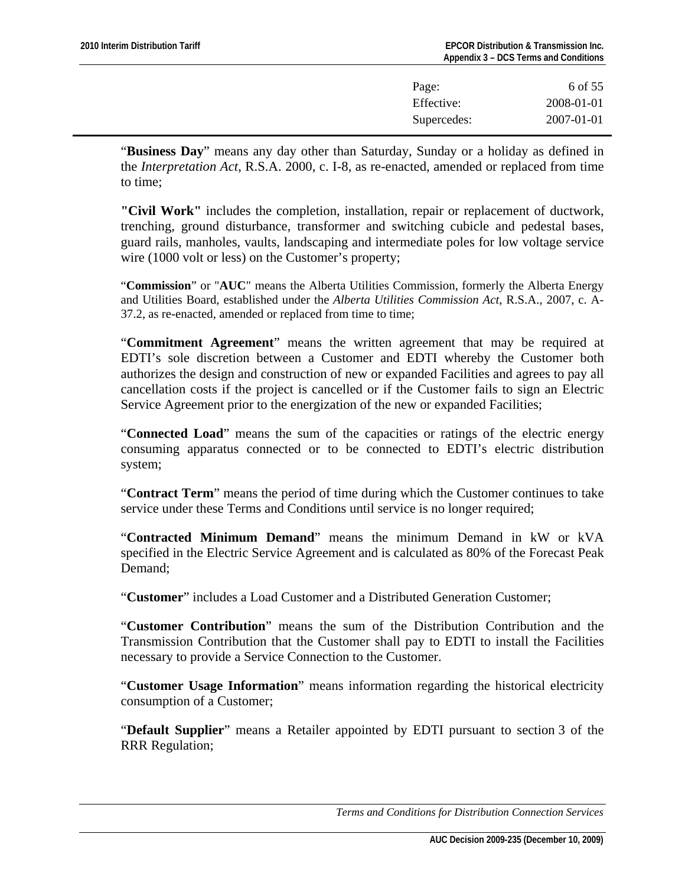| Page:       | 6 of 55          |
|-------------|------------------|
| Effective:  | 2008-01-01       |
| Supercedes: | $2007 - 01 - 01$ |

"**Business Day**" means any day other than Saturday, Sunday or a holiday as defined in the *Interpretation Act*, R.S.A. 2000, c. I-8, as re-enacted, amended or replaced from time to time;

**"Civil Work"** includes the completion, installation, repair or replacement of ductwork, trenching, ground disturbance, transformer and switching cubicle and pedestal bases, guard rails, manholes, vaults, landscaping and intermediate poles for low voltage service wire (1000 volt or less) on the Customer's property;

"**Commission**" or "**AUC**" means the Alberta Utilities Commission, formerly the Alberta Energy and Utilities Board, established under the *Alberta Utilities Commission Act*, R.S.A., 2007, c. A-37.2, as re-enacted, amended or replaced from time to time;

"**Commitment Agreement**" means the written agreement that may be required at EDTI's sole discretion between a Customer and EDTI whereby the Customer both authorizes the design and construction of new or expanded Facilities and agrees to pay all cancellation costs if the project is cancelled or if the Customer fails to sign an Electric Service Agreement prior to the energization of the new or expanded Facilities;

"**Connected Load**" means the sum of the capacities or ratings of the electric energy consuming apparatus connected or to be connected to EDTI's electric distribution system;

"**Contract Term**" means the period of time during which the Customer continues to take service under these Terms and Conditions until service is no longer required;

"**Contracted Minimum Demand**" means the minimum Demand in kW or kVA specified in the Electric Service Agreement and is calculated as 80% of the Forecast Peak Demand;

"**Customer**" includes a Load Customer and a Distributed Generation Customer;

"**Customer Contribution**" means the sum of the Distribution Contribution and the Transmission Contribution that the Customer shall pay to EDTI to install the Facilities necessary to provide a Service Connection to the Customer.

"**Customer Usage Information**" means information regarding the historical electricity consumption of a Customer;

"**Default Supplier**" means a Retailer appointed by EDTI pursuant to section 3 of the RRR Regulation;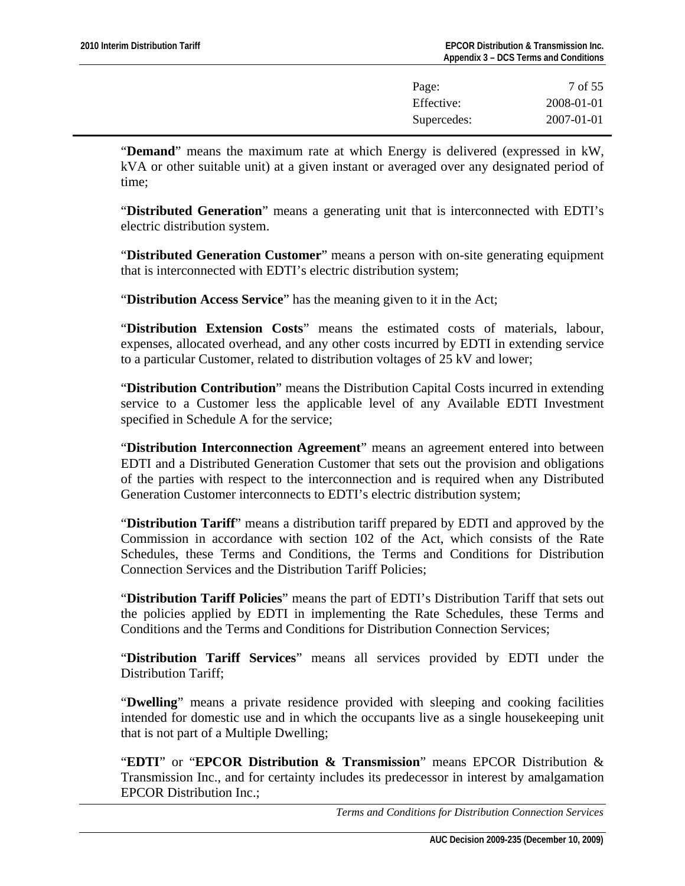| Page:       | 7 of 55          |
|-------------|------------------|
| Effective:  | 2008-01-01       |
| Supercedes: | $2007 - 01 - 01$ |

"**Demand**" means the maximum rate at which Energy is delivered (expressed in kW, kVA or other suitable unit) at a given instant or averaged over any designated period of time;

"**Distributed Generation**" means a generating unit that is interconnected with EDTI's electric distribution system.

"**Distributed Generation Customer**" means a person with on-site generating equipment that is interconnected with EDTI's electric distribution system;

"**Distribution Access Service**" has the meaning given to it in the Act;

"**Distribution Extension Costs**" means the estimated costs of materials, labour, expenses, allocated overhead, and any other costs incurred by EDTI in extending service to a particular Customer, related to distribution voltages of 25 kV and lower;

"**Distribution Contribution**" means the Distribution Capital Costs incurred in extending service to a Customer less the applicable level of any Available EDTI Investment specified in Schedule A for the service;

"**Distribution Interconnection Agreement**" means an agreement entered into between EDTI and a Distributed Generation Customer that sets out the provision and obligations of the parties with respect to the interconnection and is required when any Distributed Generation Customer interconnects to EDTI's electric distribution system;

"**Distribution Tariff**" means a distribution tariff prepared by EDTI and approved by the Commission in accordance with section 102 of the Act, which consists of the Rate Schedules, these Terms and Conditions, the Terms and Conditions for Distribution Connection Services and the Distribution Tariff Policies;

"**Distribution Tariff Policies**" means the part of EDTI's Distribution Tariff that sets out the policies applied by EDTI in implementing the Rate Schedules, these Terms and Conditions and the Terms and Conditions for Distribution Connection Services;

"**Distribution Tariff Services**" means all services provided by EDTI under the Distribution Tariff;

"**Dwelling**" means a private residence provided with sleeping and cooking facilities intended for domestic use and in which the occupants live as a single housekeeping unit that is not part of a Multiple Dwelling;

"**EDTI**" or "**EPCOR Distribution & Transmission**" means EPCOR Distribution & Transmission Inc., and for certainty includes its predecessor in interest by amalgamation EPCOR Distribution Inc.;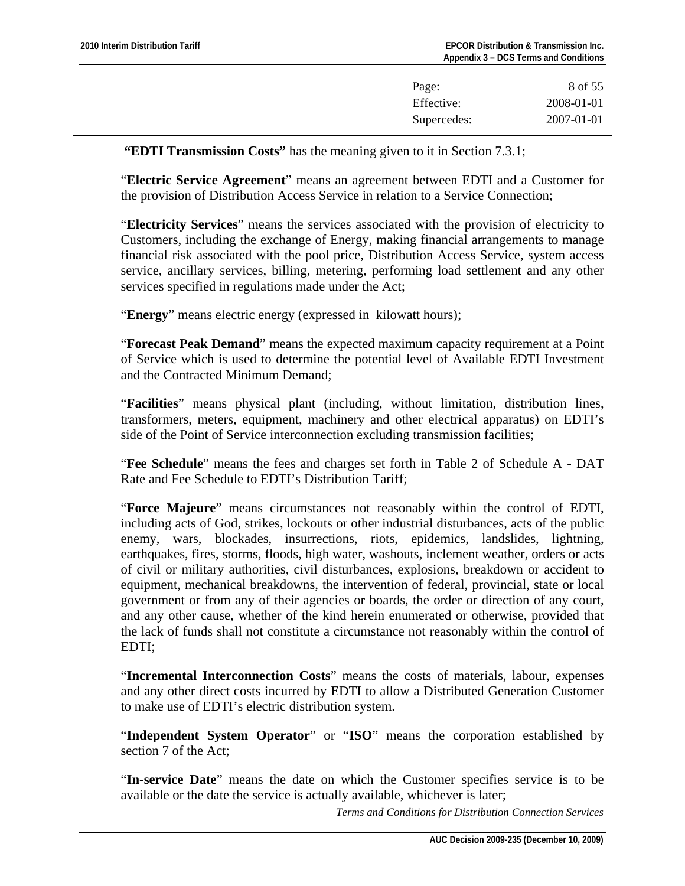| Page:       | 8 of 55    |
|-------------|------------|
| Effective:  | 2008-01-01 |
| Supercedes: | 2007-01-01 |

**"EDTI Transmission Costs"** has the meaning given to it in Section 7.3.1;

"**Electric Service Agreement**" means an agreement between EDTI and a Customer for the provision of Distribution Access Service in relation to a Service Connection;

"**Electricity Services**" means the services associated with the provision of electricity to Customers, including the exchange of Energy, making financial arrangements to manage financial risk associated with the pool price, Distribution Access Service, system access service, ancillary services, billing, metering, performing load settlement and any other services specified in regulations made under the Act;

"**Energy**" means electric energy (expressed in kilowatt hours);

"**Forecast Peak Demand**" means the expected maximum capacity requirement at a Point of Service which is used to determine the potential level of Available EDTI Investment and the Contracted Minimum Demand;

"**Facilities**" means physical plant (including, without limitation, distribution lines, transformers, meters, equipment, machinery and other electrical apparatus) on EDTI's side of the Point of Service interconnection excluding transmission facilities;

"**Fee Schedule**" means the fees and charges set forth in Table 2 of Schedule A - DAT Rate and Fee Schedule to EDTI's Distribution Tariff;

"**Force Majeure**" means circumstances not reasonably within the control of EDTI, including acts of God, strikes, lockouts or other industrial disturbances, acts of the public enemy, wars, blockades, insurrections, riots, epidemics, landslides, lightning, earthquakes, fires, storms, floods, high water, washouts, inclement weather, orders or acts of civil or military authorities, civil disturbances, explosions, breakdown or accident to equipment, mechanical breakdowns, the intervention of federal, provincial, state or local government or from any of their agencies or boards, the order or direction of any court, and any other cause, whether of the kind herein enumerated or otherwise, provided that the lack of funds shall not constitute a circumstance not reasonably within the control of EDTI;

"**Incremental Interconnection Costs**" means the costs of materials, labour, expenses and any other direct costs incurred by EDTI to allow a Distributed Generation Customer to make use of EDTI's electric distribution system.

"**Independent System Operator**" or "**ISO**" means the corporation established by section 7 of the Act;

"**In-service Date**" means the date on which the Customer specifies service is to be available or the date the service is actually available, whichever is later;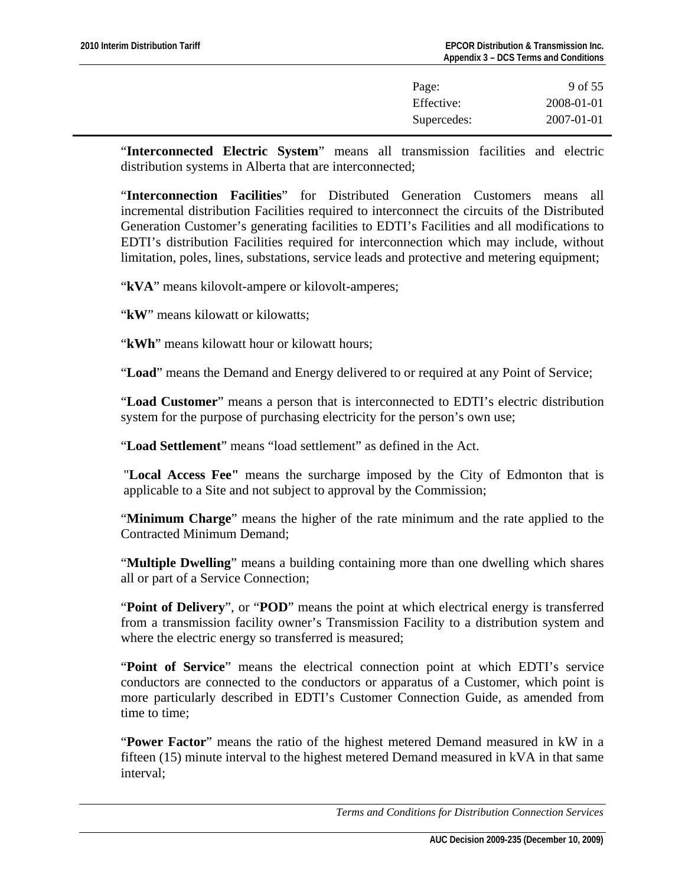| Page:       | 9 of 55          |
|-------------|------------------|
| Effective:  | 2008-01-01       |
| Supercedes: | $2007 - 01 - 01$ |

"**Interconnected Electric System**" means all transmission facilities and electric distribution systems in Alberta that are interconnected;

"**Interconnection Facilities**" for Distributed Generation Customers means all incremental distribution Facilities required to interconnect the circuits of the Distributed Generation Customer's generating facilities to EDTI's Facilities and all modifications to EDTI's distribution Facilities required for interconnection which may include, without limitation, poles, lines, substations, service leads and protective and metering equipment;

"**kVA**" means kilovolt-ampere or kilovolt-amperes;

"**kW**" means kilowatt or kilowatts;

"**kWh**" means kilowatt hour or kilowatt hours;

"**Load**" means the Demand and Energy delivered to or required at any Point of Service;

"**Load Customer**" means a person that is interconnected to EDTI's electric distribution system for the purpose of purchasing electricity for the person's own use;

"**Load Settlement**" means "load settlement" as defined in the Act.

"**Local Access Fee"** means the surcharge imposed by the City of Edmonton that is applicable to a Site and not subject to approval by the Commission;

"**Minimum Charge**" means the higher of the rate minimum and the rate applied to the Contracted Minimum Demand;

"**Multiple Dwelling**" means a building containing more than one dwelling which shares all or part of a Service Connection;

"**Point of Delivery**", or "**POD**" means the point at which electrical energy is transferred from a transmission facility owner's Transmission Facility to a distribution system and where the electric energy so transferred is measured;

"**Point of Service**" means the electrical connection point at which EDTI's service conductors are connected to the conductors or apparatus of a Customer, which point is more particularly described in EDTI's Customer Connection Guide, as amended from time to time;

"**Power Factor**" means the ratio of the highest metered Demand measured in kW in a fifteen (15) minute interval to the highest metered Demand measured in kVA in that same interval;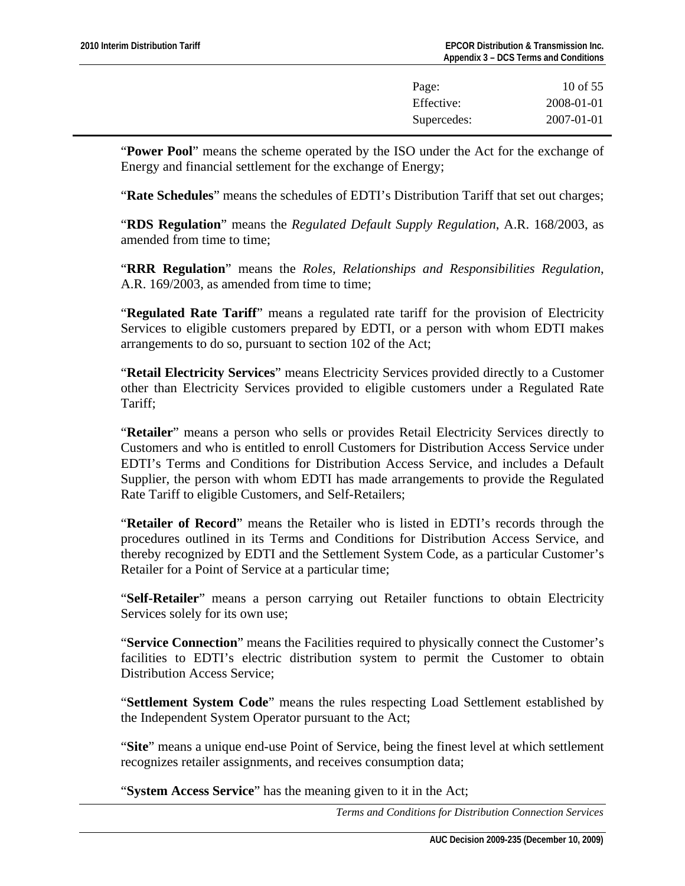| Page:       | 10 of $55$       |
|-------------|------------------|
| Effective:  | 2008-01-01       |
| Supercedes: | $2007 - 01 - 01$ |

"**Power Pool**" means the scheme operated by the ISO under the Act for the exchange of Energy and financial settlement for the exchange of Energy;

"**Rate Schedules**" means the schedules of EDTI's Distribution Tariff that set out charges;

"**RDS Regulation**" means the *Regulated Default Supply Regulation*, A.R. 168/2003, as amended from time to time;

"**RRR Regulation**" means the *Roles, Relationships and Responsibilities Regulation*, A.R. 169/2003, as amended from time to time:

"**Regulated Rate Tariff**" means a regulated rate tariff for the provision of Electricity Services to eligible customers prepared by EDTI, or a person with whom EDTI makes arrangements to do so, pursuant to section 102 of the Act;

"**Retail Electricity Services**" means Electricity Services provided directly to a Customer other than Electricity Services provided to eligible customers under a Regulated Rate Tariff;

"**Retailer**" means a person who sells or provides Retail Electricity Services directly to Customers and who is entitled to enroll Customers for Distribution Access Service under EDTI's Terms and Conditions for Distribution Access Service, and includes a Default Supplier, the person with whom EDTI has made arrangements to provide the Regulated Rate Tariff to eligible Customers, and Self-Retailers;

"**Retailer of Record**" means the Retailer who is listed in EDTI's records through the procedures outlined in its Terms and Conditions for Distribution Access Service, and thereby recognized by EDTI and the Settlement System Code, as a particular Customer's Retailer for a Point of Service at a particular time;

"**Self-Retailer**" means a person carrying out Retailer functions to obtain Electricity Services solely for its own use;

"**Service Connection**" means the Facilities required to physically connect the Customer's facilities to EDTI's electric distribution system to permit the Customer to obtain Distribution Access Service;

"**Settlement System Code**" means the rules respecting Load Settlement established by the Independent System Operator pursuant to the Act;

"**Site**" means a unique end-use Point of Service, being the finest level at which settlement recognizes retailer assignments, and receives consumption data;

"**System Access Service**" has the meaning given to it in the Act;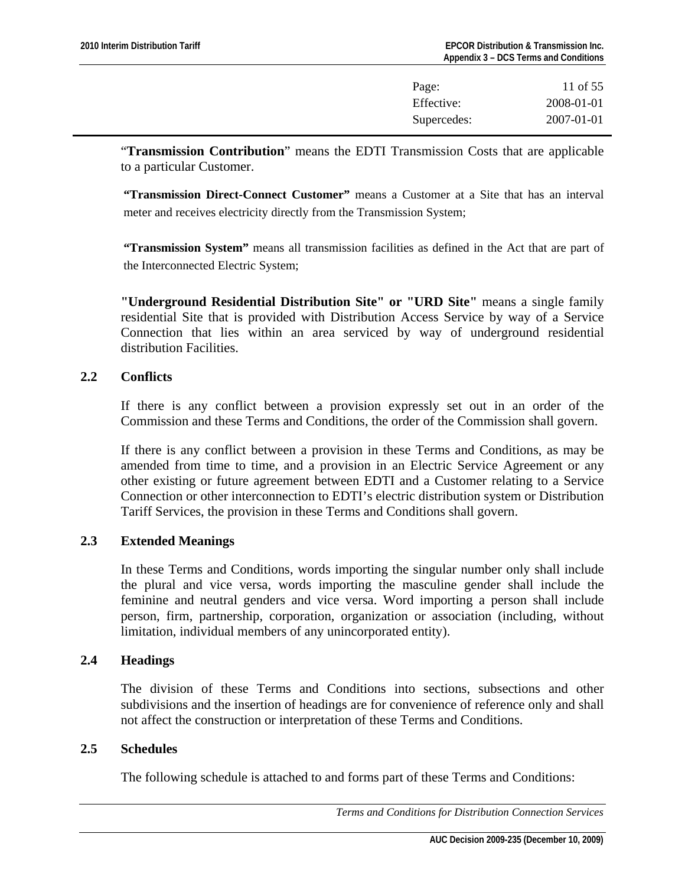| Page:       | 11 of 55   |
|-------------|------------|
| Effective:  | 2008-01-01 |
| Supercedes: | 2007-01-01 |

<span id="page-10-0"></span>"**Transmission Contribution**" means the EDTI Transmission Costs that are applicable to a particular Customer.

**"Transmission Direct-Connect Customer"** means a Customer at a Site that has an interval meter and receives electricity directly from the Transmission System;

**"Transmission System"** means all transmission facilities as defined in the Act that are part of the Interconnected Electric System;

**"Underground Residential Distribution Site" or "URD Site"** means a single family residential Site that is provided with Distribution Access Service by way of a Service Connection that lies within an area serviced by way of underground residential distribution Facilities.

## **2.2 Conflicts**

If there is any conflict between a provision expressly set out in an order of the Commission and these Terms and Conditions, the order of the Commission shall govern.

If there is any conflict between a provision in these Terms and Conditions, as may be amended from time to time, and a provision in an Electric Service Agreement or any other existing or future agreement between EDTI and a Customer relating to a Service Connection or other interconnection to EDTI's electric distribution system or Distribution Tariff Services, the provision in these Terms and Conditions shall govern.

# **2.3 Extended Meanings**

In these Terms and Conditions, words importing the singular number only shall include the plural and vice versa, words importing the masculine gender shall include the feminine and neutral genders and vice versa. Word importing a person shall include person, firm, partnership, corporation, organization or association (including, without limitation, individual members of any unincorporated entity).

## **2.4 Headings**

The division of these Terms and Conditions into sections, subsections and other subdivisions and the insertion of headings are for convenience of reference only and shall not affect the construction or interpretation of these Terms and Conditions.

#### **2.5 Schedules**

The following schedule is attached to and forms part of these Terms and Conditions: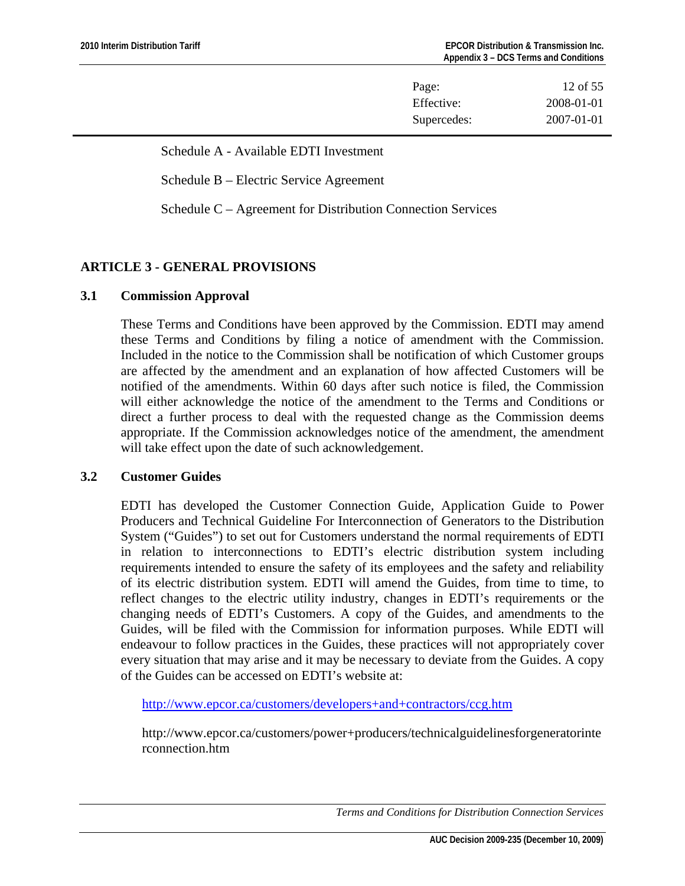| Page:       | 12 of $55$       |
|-------------|------------------|
| Effective:  | 2008-01-01       |
| Supercedes: | $2007 - 01 - 01$ |

<span id="page-11-0"></span>Schedule A - Available EDTI Investment

Schedule B – Electric Service Agreement

Schedule C – Agreement for Distribution Connection Services

# **ARTICLE 3 - GENERAL PROVISIONS**

# **3.1 Commission Approval**

These Terms and Conditions have been approved by the Commission. EDTI may amend these Terms and Conditions by filing a notice of amendment with the Commission. Included in the notice to the Commission shall be notification of which Customer groups are affected by the amendment and an explanation of how affected Customers will be notified of the amendments. Within 60 days after such notice is filed, the Commission will either acknowledge the notice of the amendment to the Terms and Conditions or direct a further process to deal with the requested change as the Commission deems appropriate. If the Commission acknowledges notice of the amendment, the amendment will take effect upon the date of such acknowledgement.

# **3.2 Customer Guides**

EDTI has developed the Customer Connection Guide, Application Guide to Power Producers and Technical Guideline For Interconnection of Generators to the Distribution System ("Guides") to set out for Customers understand the normal requirements of EDTI in relation to interconnections to EDTI's electric distribution system including requirements intended to ensure the safety of its employees and the safety and reliability of its electric distribution system. EDTI will amend the Guides, from time to time, to reflect changes to the electric utility industry, changes in EDTI's requirements or the changing needs of EDTI's Customers. A copy of the Guides, and amendments to the Guides, will be filed with the Commission for information purposes. While EDTI will endeavour to follow practices in the Guides, these practices will not appropriately cover every situation that may arise and it may be necessary to deviate from the Guides. A copy of the Guides can be accessed on EDTI's website at:

<http://www.epcor.ca/customers/developers+and+contractors/ccg.htm>

http://www.epcor.ca/customers/power+producers/technicalguidelinesforgeneratorinte rconnection.htm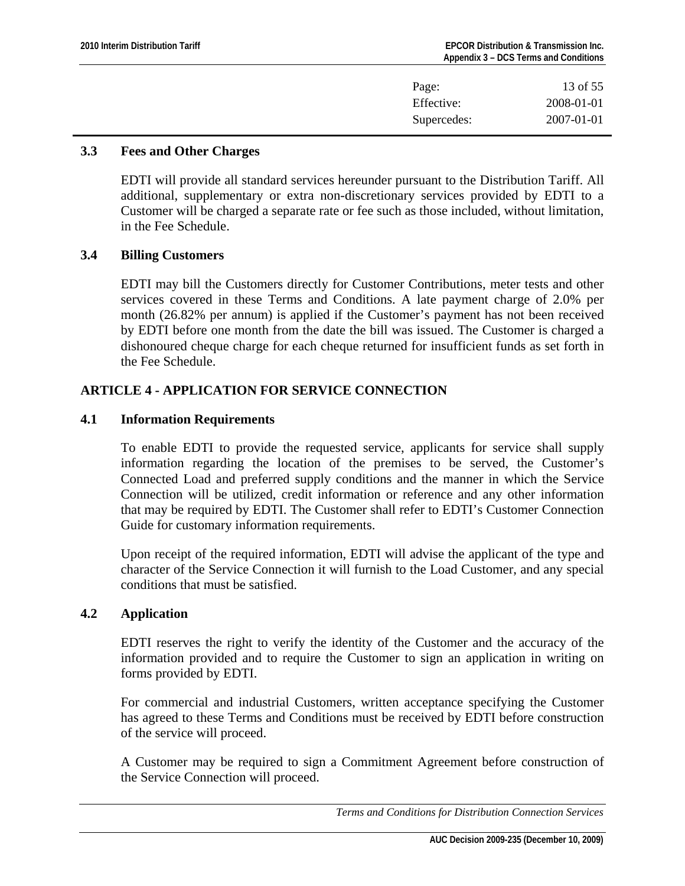| Page:       | 13 of 55   |
|-------------|------------|
| Effective:  | 2008-01-01 |
| Supercedes: | 2007-01-01 |

#### <span id="page-12-0"></span>**3.3 Fees and Other Charges**

EDTI will provide all standard services hereunder pursuant to the Distribution Tariff. All additional, supplementary or extra non-discretionary services provided by EDTI to a Customer will be charged a separate rate or fee such as those included, without limitation, in the Fee Schedule.

## **3.4 Billing Customers**

EDTI may bill the Customers directly for Customer Contributions, meter tests and other services covered in these Terms and Conditions. A late payment charge of 2.0% per month (26.82% per annum) is applied if the Customer's payment has not been received by EDTI before one month from the date the bill was issued. The Customer is charged a dishonoured cheque charge for each cheque returned for insufficient funds as set forth in the Fee Schedule.

# **ARTICLE 4 - APPLICATION FOR SERVICE CONNECTION**

## **4.1 Information Requirements**

To enable EDTI to provide the requested service, applicants for service shall supply information regarding the location of the premises to be served, the Customer's Connected Load and preferred supply conditions and the manner in which the Service Connection will be utilized, credit information or reference and any other information that may be required by EDTI. The Customer shall refer to EDTI's Customer Connection Guide for customary information requirements.

Upon receipt of the required information, EDTI will advise the applicant of the type and character of the Service Connection it will furnish to the Load Customer, and any special conditions that must be satisfied.

# **4.2 Application**

EDTI reserves the right to verify the identity of the Customer and the accuracy of the information provided and to require the Customer to sign an application in writing on forms provided by EDTI.

For commercial and industrial Customers, written acceptance specifying the Customer has agreed to these Terms and Conditions must be received by EDTI before construction of the service will proceed.

A Customer may be required to sign a Commitment Agreement before construction of the Service Connection will proceed.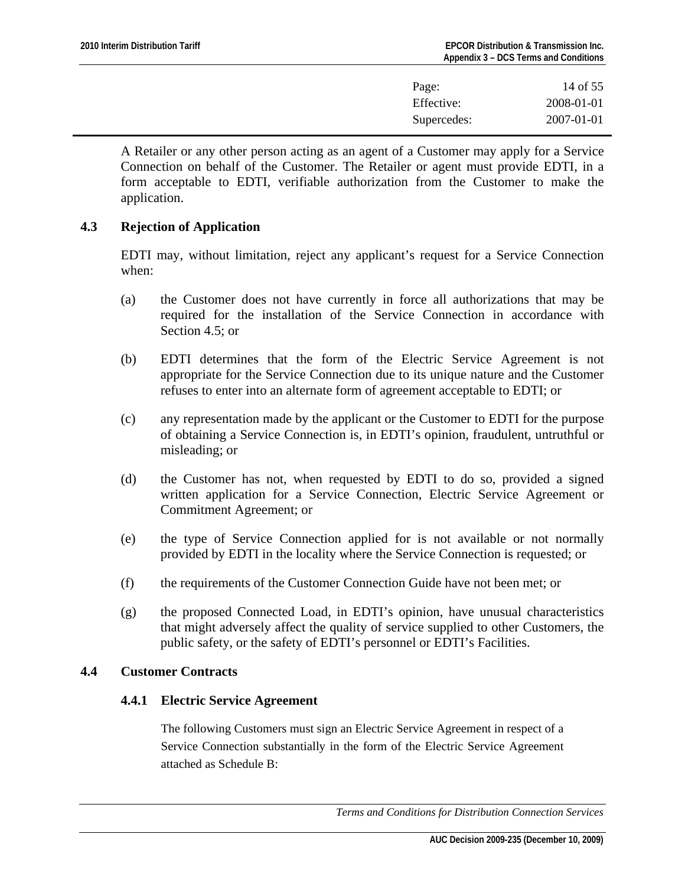| Page:       | 14 of 55         |
|-------------|------------------|
| Effective:  | 2008-01-01       |
| Supercedes: | $2007 - 01 - 01$ |

<span id="page-13-0"></span>A Retailer or any other person acting as an agent of a Customer may apply for a Service Connection on behalf of the Customer. The Retailer or agent must provide EDTI, in a form acceptable to EDTI, verifiable authorization from the Customer to make the application.

# **4.3 Rejection of Application**

EDTI may, without limitation, reject any applicant's request for a Service Connection when:

- (a) the Customer does not have currently in force all authorizations that may be required for the installation of the Service Connection in accordance with Section 4.5; or
- (b) EDTI determines that the form of the Electric Service Agreement is not appropriate for the Service Connection due to its unique nature and the Customer refuses to enter into an alternate form of agreement acceptable to EDTI; or
- (c) any representation made by the applicant or the Customer to EDTI for the purpose of obtaining a Service Connection is, in EDTI's opinion, fraudulent, untruthful or misleading; or
- (d) the Customer has not, when requested by EDTI to do so, provided a signed written application for a Service Connection, Electric Service Agreement or Commitment Agreement; or
- (e) the type of Service Connection applied for is not available or not normally provided by EDTI in the locality where the Service Connection is requested; or
- (f) the requirements of the Customer Connection Guide have not been met; or
- (g) the proposed Connected Load, in EDTI's opinion, have unusual characteristics that might adversely affect the quality of service supplied to other Customers, the public safety, or the safety of EDTI's personnel or EDTI's Facilities.

# **4.4 Customer Contracts**

# **4.4.1 Electric Service Agreement**

The following Customers must sign an Electric Service Agreement in respect of a Service Connection substantially in the form of the Electric Service Agreement attached as Schedule B: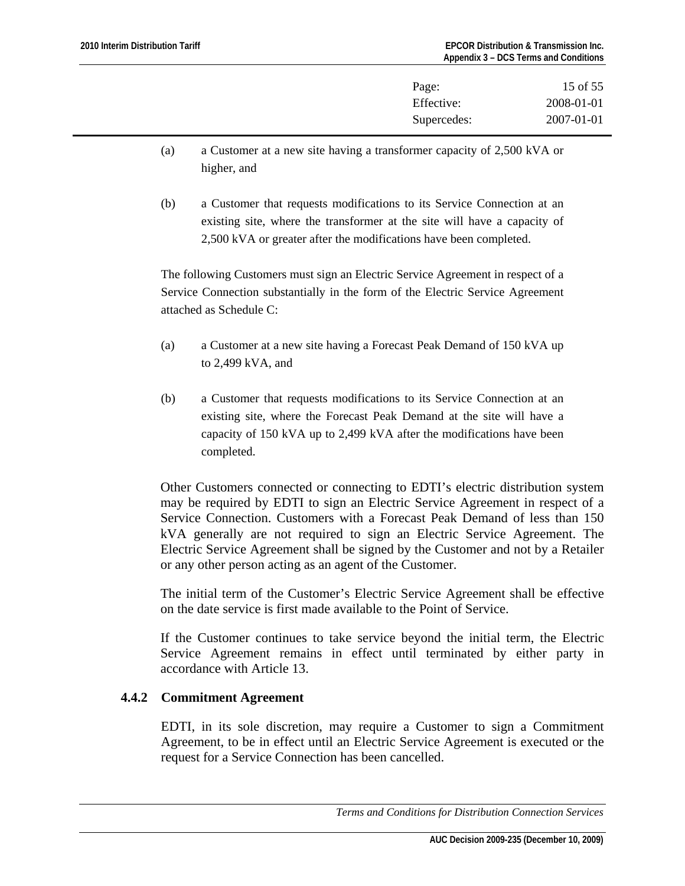| Page:       | 15 of 55         |
|-------------|------------------|
| Effective:  | 2008-01-01       |
| Supercedes: | $2007 - 01 - 01$ |

- (a) a Customer at a new site having a transformer capacity of 2,500 kVA or higher, and
- (b) a Customer that requests modifications to its Service Connection at an existing site, where the transformer at the site will have a capacity of 2,500 kVA or greater after the modifications have been completed.

The following Customers must sign an Electric Service Agreement in respect of a Service Connection substantially in the form of the Electric Service Agreement attached as Schedule C:

- (a) a Customer at a new site having a Forecast Peak Demand of 150 kVA up to 2,499 kVA, and
- (b) a Customer that requests modifications to its Service Connection at an existing site, where the Forecast Peak Demand at the site will have a capacity of 150 kVA up to 2,499 kVA after the modifications have been completed.

Other Customers connected or connecting to EDTI's electric distribution system may be required by EDTI to sign an Electric Service Agreement in respect of a Service Connection. Customers with a Forecast Peak Demand of less than 150 kVA generally are not required to sign an Electric Service Agreement. The Electric Service Agreement shall be signed by the Customer and not by a Retailer or any other person acting as an agent of the Customer.

The initial term of the Customer's Electric Service Agreement shall be effective on the date service is first made available to the Point of Service.

If the Customer continues to take service beyond the initial term, the Electric Service Agreement remains in effect until terminated by either party in accordance with Article 13.

# **4.4.2 Commitment Agreement**

EDTI, in its sole discretion, may require a Customer to sign a Commitment Agreement, to be in effect until an Electric Service Agreement is executed or the request for a Service Connection has been cancelled.

*Terms and Conditions for Distribution Connection Services*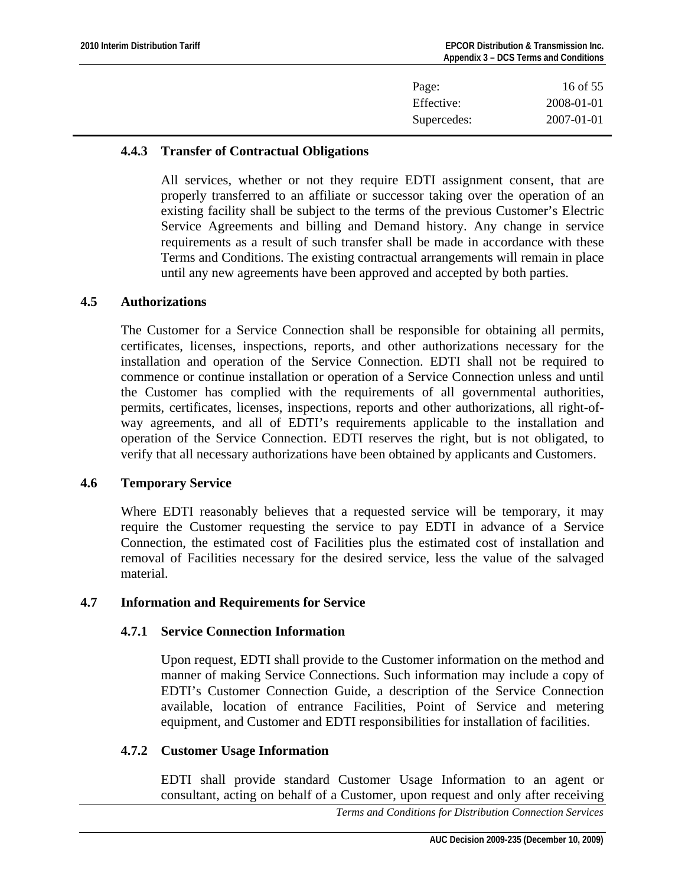| Page:       | 16 of 55   |
|-------------|------------|
| Effective:  | 2008-01-01 |
| Supercedes: | 2007-01-01 |
|             |            |

# <span id="page-15-0"></span>**4.4.3 Transfer of Contractual Obligations**

All services, whether or not they require EDTI assignment consent, that are properly transferred to an affiliate or successor taking over the operation of an existing facility shall be subject to the terms of the previous Customer's Electric Service Agreements and billing and Demand history. Any change in service requirements as a result of such transfer shall be made in accordance with these Terms and Conditions. The existing contractual arrangements will remain in place until any new agreements have been approved and accepted by both parties.

## **4.5 Authorizations**

The Customer for a Service Connection shall be responsible for obtaining all permits, certificates, licenses, inspections, reports, and other authorizations necessary for the installation and operation of the Service Connection. EDTI shall not be required to commence or continue installation or operation of a Service Connection unless and until the Customer has complied with the requirements of all governmental authorities, permits, certificates, licenses, inspections, reports and other authorizations, all right-ofway agreements, and all of EDTI's requirements applicable to the installation and operation of the Service Connection. EDTI reserves the right, but is not obligated, to verify that all necessary authorizations have been obtained by applicants and Customers.

# **4.6 Temporary Service**

Where EDTI reasonably believes that a requested service will be temporary, it may require the Customer requesting the service to pay EDTI in advance of a Service Connection, the estimated cost of Facilities plus the estimated cost of installation and removal of Facilities necessary for the desired service, less the value of the salvaged material.

# **4.7 Information and Requirements for Service**

# **4.7.1 Service Connection Information**

Upon request, EDTI shall provide to the Customer information on the method and manner of making Service Connections. Such information may include a copy of EDTI's Customer Connection Guide, a description of the Service Connection available, location of entrance Facilities, Point of Service and metering equipment, and Customer and EDTI responsibilities for installation of facilities.

# **4.7.2 Customer Usage Information**

EDTI shall provide standard Customer Usage Information to an agent or consultant, acting on behalf of a Customer, upon request and only after receiving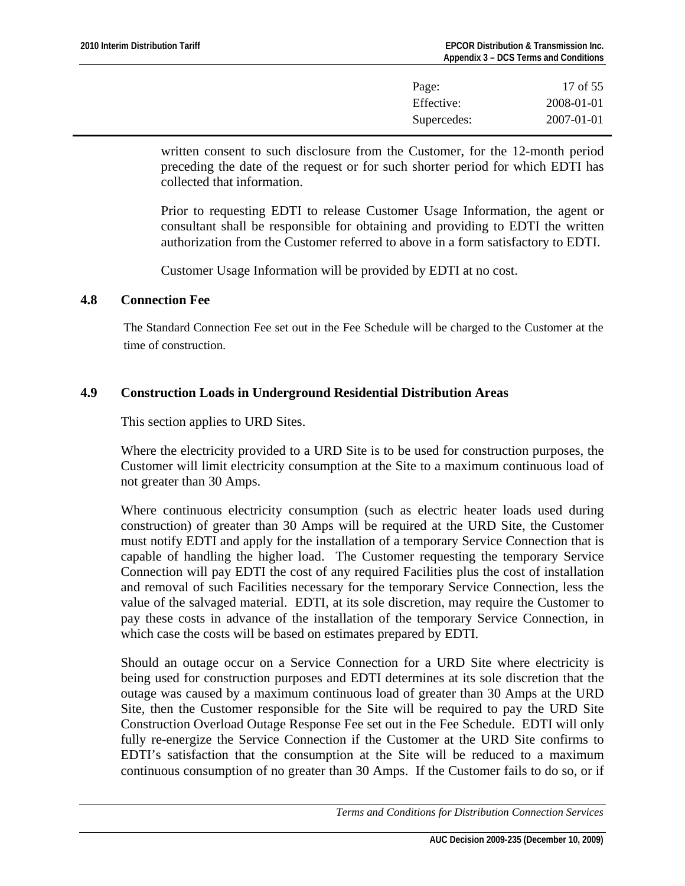| Page:       | 17 of 55         |
|-------------|------------------|
| Effective:  | 2008-01-01       |
| Supercedes: | $2007 - 01 - 01$ |

<span id="page-16-0"></span>written consent to such disclosure from the Customer, for the 12-month period preceding the date of the request or for such shorter period for which EDTI has collected that information.

Prior to requesting EDTI to release Customer Usage Information, the agent or consultant shall be responsible for obtaining and providing to EDTI the written authorization from the Customer referred to above in a form satisfactory to EDTI.

Customer Usage Information will be provided by EDTI at no cost.

## **4.8 Connection Fee**

The Standard Connection Fee set out in the Fee Schedule will be charged to the Customer at the time of construction.

# **4.9 Construction Loads in Underground Residential Distribution Areas**

This section applies to URD Sites.

Where the electricity provided to a URD Site is to be used for construction purposes, the Customer will limit electricity consumption at the Site to a maximum continuous load of not greater than 30 Amps.

Where continuous electricity consumption (such as electric heater loads used during construction) of greater than 30 Amps will be required at the URD Site, the Customer must notify EDTI and apply for the installation of a temporary Service Connection that is capable of handling the higher load. The Customer requesting the temporary Service Connection will pay EDTI the cost of any required Facilities plus the cost of installation and removal of such Facilities necessary for the temporary Service Connection, less the value of the salvaged material. EDTI, at its sole discretion, may require the Customer to pay these costs in advance of the installation of the temporary Service Connection, in which case the costs will be based on estimates prepared by EDTI.

Should an outage occur on a Service Connection for a URD Site where electricity is being used for construction purposes and EDTI determines at its sole discretion that the outage was caused by a maximum continuous load of greater than 30 Amps at the URD Site, then the Customer responsible for the Site will be required to pay the URD Site Construction Overload Outage Response Fee set out in the Fee Schedule. EDTI will only fully re-energize the Service Connection if the Customer at the URD Site confirms to EDTI's satisfaction that the consumption at the Site will be reduced to a maximum continuous consumption of no greater than 30 Amps. If the Customer fails to do so, or if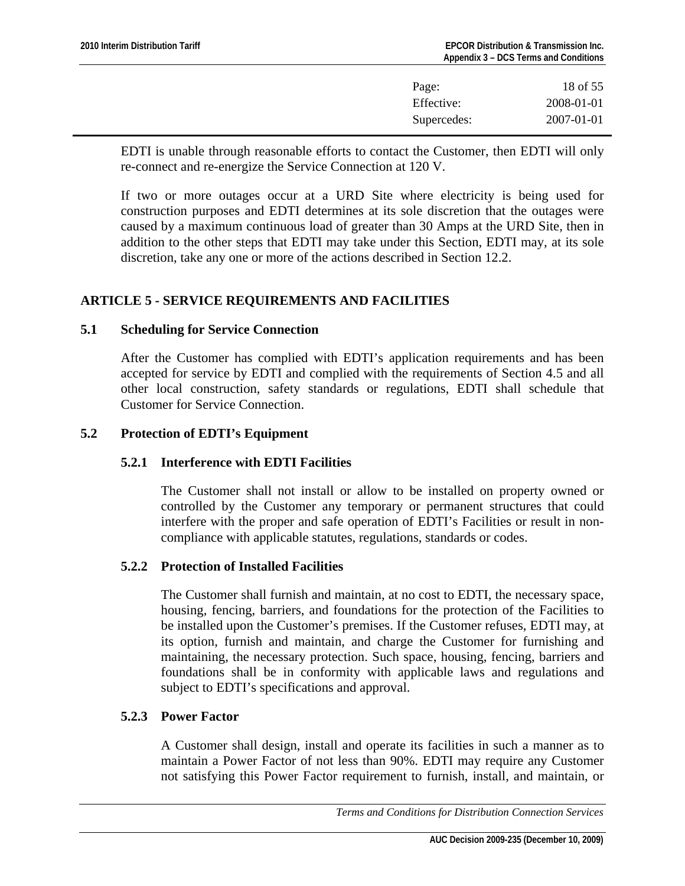| Page:       | 18 of 55   |
|-------------|------------|
| Effective:  | 2008-01-01 |
| Supercedes: | 2007-01-01 |

<span id="page-17-0"></span>EDTI is unable through reasonable efforts to contact the Customer, then EDTI will only re-connect and re-energize the Service Connection at 120 V.

If two or more outages occur at a URD Site where electricity is being used for construction purposes and EDTI determines at its sole discretion that the outages were caused by a maximum continuous load of greater than 30 Amps at the URD Site, then in addition to the other steps that EDTI may take under this Section, EDTI may, at its sole discretion, take any one or more of the actions described in Section 12.2.

# **ARTICLE 5 - SERVICE REQUIREMENTS AND FACILITIES**

# **5.1 Scheduling for Service Connection**

After the Customer has complied with EDTI's application requirements and has been accepted for service by EDTI and complied with the requirements of Section 4.5 and all other local construction, safety standards or regulations, EDTI shall schedule that Customer for Service Connection.

## **5.2 Protection of EDTI's Equipment**

# **5.2.1 Interference with EDTI Facilities**

The Customer shall not install or allow to be installed on property owned or controlled by the Customer any temporary or permanent structures that could interfere with the proper and safe operation of EDTI's Facilities or result in noncompliance with applicable statutes, regulations, standards or codes.

#### **5.2.2 Protection of Installed Facilities**

The Customer shall furnish and maintain, at no cost to EDTI, the necessary space, housing, fencing, barriers, and foundations for the protection of the Facilities to be installed upon the Customer's premises. If the Customer refuses, EDTI may, at its option, furnish and maintain, and charge the Customer for furnishing and maintaining, the necessary protection. Such space, housing, fencing, barriers and foundations shall be in conformity with applicable laws and regulations and subject to EDTI's specifications and approval.

## **5.2.3 Power Factor**

A Customer shall design, install and operate its facilities in such a manner as to maintain a Power Factor of not less than 90%. EDTI may require any Customer not satisfying this Power Factor requirement to furnish, install, and maintain, or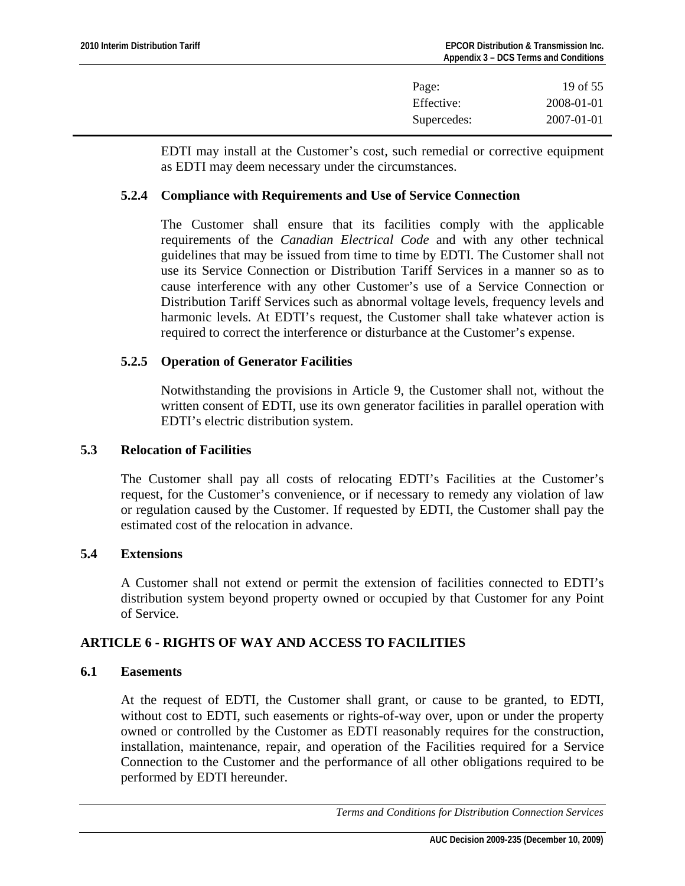| Page:       | 19 of 55         |
|-------------|------------------|
| Effective:  | 2008-01-01       |
| Supercedes: | $2007 - 01 - 01$ |

<span id="page-18-0"></span>EDTI may install at the Customer's cost, such remedial or corrective equipment as EDTI may deem necessary under the circumstances.

#### **5.2.4 Compliance with Requirements and Use of Service Connection**

The Customer shall ensure that its facilities comply with the applicable requirements of the *Canadian Electrical Code* and with any other technical guidelines that may be issued from time to time by EDTI. The Customer shall not use its Service Connection or Distribution Tariff Services in a manner so as to cause interference with any other Customer's use of a Service Connection or Distribution Tariff Services such as abnormal voltage levels, frequency levels and harmonic levels. At EDTI's request, the Customer shall take whatever action is required to correct the interference or disturbance at the Customer's expense.

#### **5.2.5 Operation of Generator Facilities**

Notwithstanding the provisions in Article 9, the Customer shall not, without the written consent of EDTI, use its own generator facilities in parallel operation with EDTI's electric distribution system.

## **5.3 Relocation of Facilities**

The Customer shall pay all costs of relocating EDTI's Facilities at the Customer's request, for the Customer's convenience, or if necessary to remedy any violation of law or regulation caused by the Customer. If requested by EDTI, the Customer shall pay the estimated cost of the relocation in advance.

## **5.4 Extensions**

A Customer shall not extend or permit the extension of facilities connected to EDTI's distribution system beyond property owned or occupied by that Customer for any Point of Service.

# **ARTICLE 6 - RIGHTS OF WAY AND ACCESS TO FACILITIES**

## **6.1 Easements**

At the request of EDTI, the Customer shall grant, or cause to be granted, to EDTI, without cost to EDTI, such easements or rights-of-way over, upon or under the property owned or controlled by the Customer as EDTI reasonably requires for the construction, installation, maintenance, repair, and operation of the Facilities required for a Service Connection to the Customer and the performance of all other obligations required to be performed by EDTI hereunder.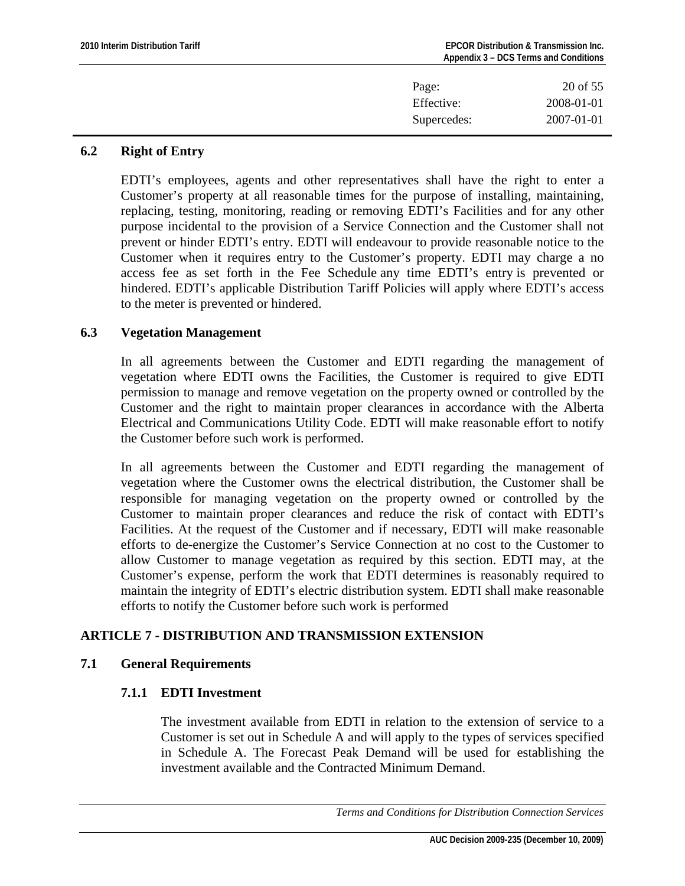<span id="page-19-0"></span>

| Page:       | 20 of 55   |
|-------------|------------|
| Effective:  | 2008-01-01 |
| Supercedes: | 2007-01-01 |
|             |            |

# **6.2 Right of Entry**

EDTI's employees, agents and other representatives shall have the right to enter a Customer's property at all reasonable times for the purpose of installing, maintaining, replacing, testing, monitoring, reading or removing EDTI's Facilities and for any other purpose incidental to the provision of a Service Connection and the Customer shall not prevent or hinder EDTI's entry. EDTI will endeavour to provide reasonable notice to the Customer when it requires entry to the Customer's property. EDTI may charge a no access fee as set forth in the Fee Schedule any time EDTI's entry is prevented or hindered. EDTI's applicable Distribution Tariff Policies will apply where EDTI's access to the meter is prevented or hindered.

## **6.3 Vegetation Management**

In all agreements between the Customer and EDTI regarding the management of vegetation where EDTI owns the Facilities, the Customer is required to give EDTI permission to manage and remove vegetation on the property owned or controlled by the Customer and the right to maintain proper clearances in accordance with the Alberta Electrical and Communications Utility Code. EDTI will make reasonable effort to notify the Customer before such work is performed.

In all agreements between the Customer and EDTI regarding the management of vegetation where the Customer owns the electrical distribution, the Customer shall be responsible for managing vegetation on the property owned or controlled by the Customer to maintain proper clearances and reduce the risk of contact with EDTI's Facilities. At the request of the Customer and if necessary, EDTI will make reasonable efforts to de-energize the Customer's Service Connection at no cost to the Customer to allow Customer to manage vegetation as required by this section. EDTI may, at the Customer's expense, perform the work that EDTI determines is reasonably required to maintain the integrity of EDTI's electric distribution system. EDTI shall make reasonable efforts to notify the Customer before such work is performed

# **ARTICLE 7 - DISTRIBUTION AND TRANSMISSION EXTENSION**

# **7.1 General Requirements**

# **7.1.1 EDTI Investment**

The investment available from EDTI in relation to the extension of service to a Customer is set out in Schedule A and will apply to the types of services specified in Schedule A. The Forecast Peak Demand will be used for establishing the investment available and the Contracted Minimum Demand.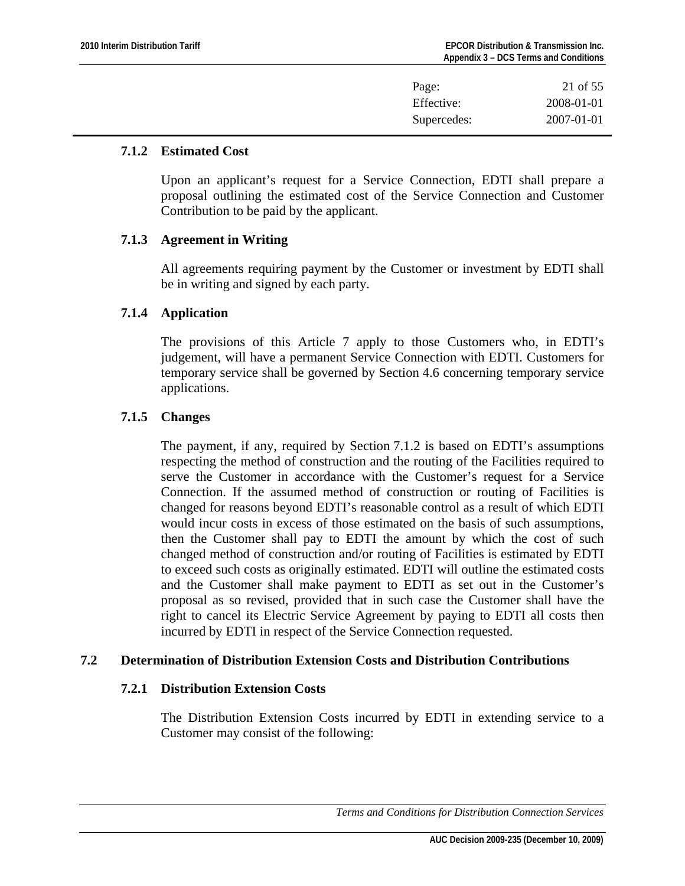| Page:       | 21 of 55         |
|-------------|------------------|
| Effective:  | 2008-01-01       |
| Supercedes: | $2007 - 01 - 01$ |

#### <span id="page-20-0"></span>**7.1.2 Estimated Cost**

Upon an applicant's request for a Service Connection, EDTI shall prepare a proposal outlining the estimated cost of the Service Connection and Customer Contribution to be paid by the applicant.

## **7.1.3 Agreement in Writing**

All agreements requiring payment by the Customer or investment by EDTI shall be in writing and signed by each party.

## **7.1.4 Application**

The provisions of this Article 7 apply to those Customers who, in EDTI's judgement, will have a permanent Service Connection with EDTI. Customers for temporary service shall be governed by Section 4.6 concerning temporary service applications.

## **7.1.5 Changes**

The payment, if any, required by Section 7.1.2 is based on EDTI's assumptions respecting the method of construction and the routing of the Facilities required to serve the Customer in accordance with the Customer's request for a Service Connection. If the assumed method of construction or routing of Facilities is changed for reasons beyond EDTI's reasonable control as a result of which EDTI would incur costs in excess of those estimated on the basis of such assumptions, then the Customer shall pay to EDTI the amount by which the cost of such changed method of construction and/or routing of Facilities is estimated by EDTI to exceed such costs as originally estimated. EDTI will outline the estimated costs and the Customer shall make payment to EDTI as set out in the Customer's proposal as so revised, provided that in such case the Customer shall have the right to cancel its Electric Service Agreement by paying to EDTI all costs then incurred by EDTI in respect of the Service Connection requested.

# **7.2 Determination of Distribution Extension Costs and Distribution Contributions**

# **7.2.1 Distribution Extension Costs**

The Distribution Extension Costs incurred by EDTI in extending service to a Customer may consist of the following:

 *Terms and Conditions for Distribution Connection Services*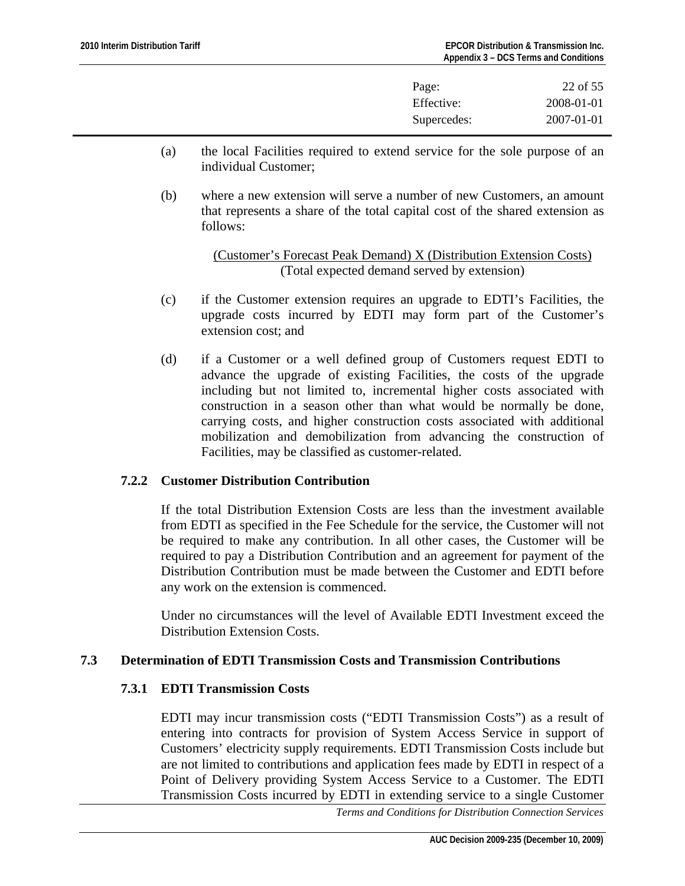| Page:       | 22 of 55   |
|-------------|------------|
| Effective:  | 2008-01-01 |
| Supercedes: | 2007-01-01 |

- <span id="page-21-0"></span>(a) the local Facilities required to extend service for the sole purpose of an individual Customer;
- (b) where a new extension will serve a number of new Customers, an amount that represents a share of the total capital cost of the shared extension as follows:

(Customer's Forecast Peak Demand) X (Distribution Extension Costs) (Total expected demand served by extension)

- (c) if the Customer extension requires an upgrade to EDTI's Facilities, the upgrade costs incurred by EDTI may form part of the Customer's extension cost; and
- (d) if a Customer or a well defined group of Customers request EDTI to advance the upgrade of existing Facilities, the costs of the upgrade including but not limited to, incremental higher costs associated with construction in a season other than what would be normally be done, carrying costs, and higher construction costs associated with additional mobilization and demobilization from advancing the construction of Facilities, may be classified as customer-related.

# **7.2.2 Customer Distribution Contribution**

If the total Distribution Extension Costs are less than the investment available from EDTI as specified in the Fee Schedule for the service, the Customer will not be required to make any contribution. In all other cases, the Customer will be required to pay a Distribution Contribution and an agreement for payment of the Distribution Contribution must be made between the Customer and EDTI before any work on the extension is commenced.

Under no circumstances will the level of Available EDTI Investment exceed the Distribution Extension Costs.

# **7.3 Determination of EDTI Transmission Costs and Transmission Contributions**

#### **7.3.1 EDTI Transmission Costs**

EDTI may incur transmission costs ("EDTI Transmission Costs") as a result of entering into contracts for provision of System Access Service in support of Customers' electricity supply requirements. EDTI Transmission Costs include but are not limited to contributions and application fees made by EDTI in respect of a Point of Delivery providing System Access Service to a Customer. The EDTI Transmission Costs incurred by EDTI in extending service to a single Customer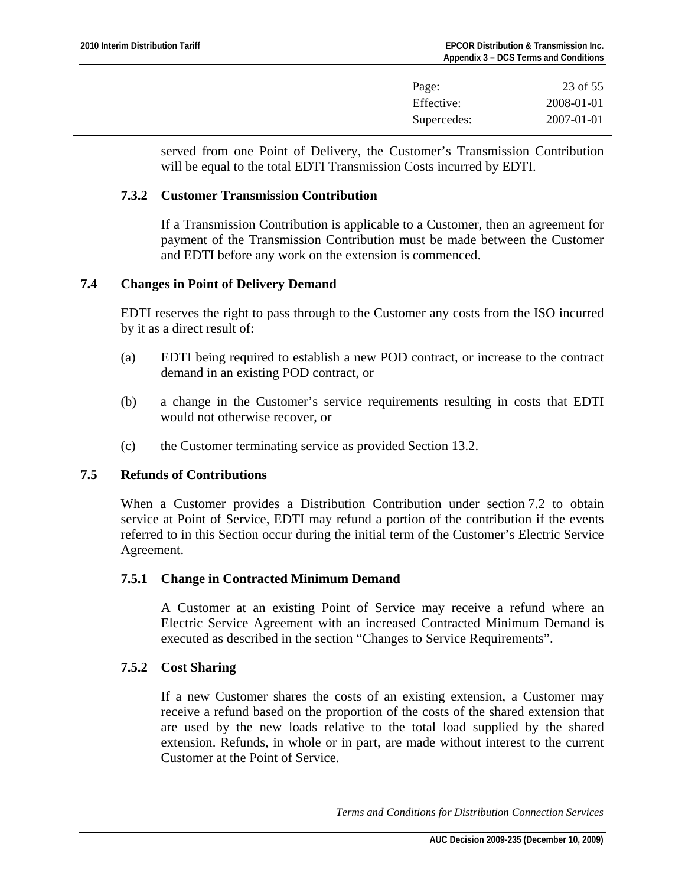| Page:       | 23 of 55         |
|-------------|------------------|
| Effective:  | 2008-01-01       |
| Supercedes: | $2007 - 01 - 01$ |

<span id="page-22-0"></span>served from one Point of Delivery, the Customer's Transmission Contribution will be equal to the total EDTI Transmission Costs incurred by EDTI.

#### **7.3.2 Customer Transmission Contribution**

If a Transmission Contribution is applicable to a Customer, then an agreement for payment of the Transmission Contribution must be made between the Customer and EDTI before any work on the extension is commenced.

## **7.4 Changes in Point of Delivery Demand**

EDTI reserves the right to pass through to the Customer any costs from the ISO incurred by it as a direct result of:

- (a) EDTI being required to establish a new POD contract, or increase to the contract demand in an existing POD contract, or
- (b) a change in the Customer's service requirements resulting in costs that EDTI would not otherwise recover, or
- (c) the Customer terminating service as provided Section 13.2.

# **7.5 Refunds of Contributions**

When a Customer provides a Distribution Contribution under section 7.2 to obtain service at Point of Service, EDTI may refund a portion of the contribution if the events referred to in this Section occur during the initial term of the Customer's Electric Service Agreement.

# **7.5.1 Change in Contracted Minimum Demand**

A Customer at an existing Point of Service may receive a refund where an Electric Service Agreement with an increased Contracted Minimum Demand is executed as described in the section "Changes to Service Requirements".

# **7.5.2 Cost Sharing**

If a new Customer shares the costs of an existing extension, a Customer may receive a refund based on the proportion of the costs of the shared extension that are used by the new loads relative to the total load supplied by the shared extension. Refunds, in whole or in part, are made without interest to the current Customer at the Point of Service.

*Terms and Conditions for Distribution Connection Services*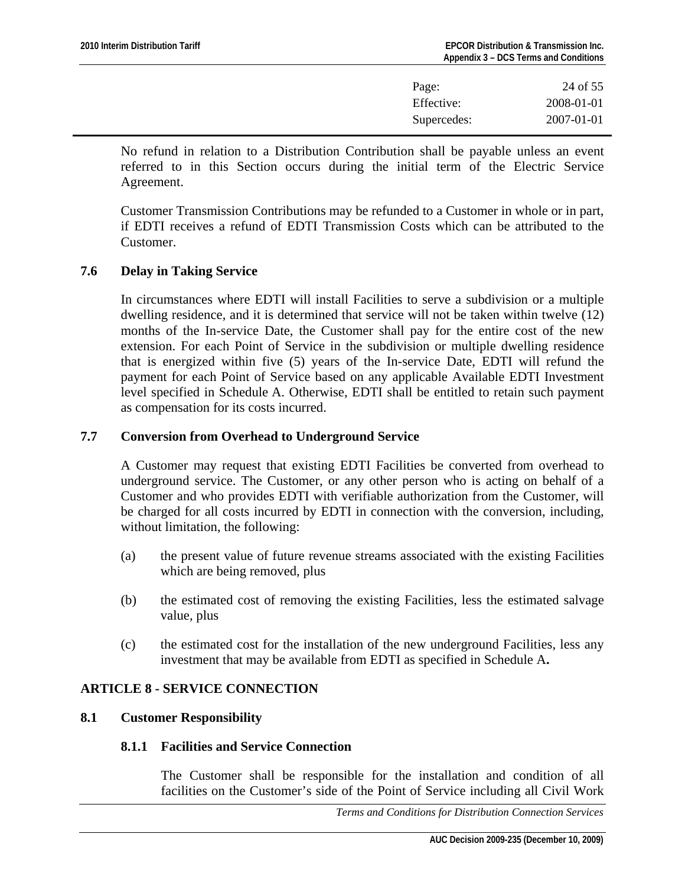| Page:       | 24 of 55         |
|-------------|------------------|
| Effective:  | 2008-01-01       |
| Supercedes: | $2007 - 01 - 01$ |

<span id="page-23-0"></span>No refund in relation to a Distribution Contribution shall be payable unless an event referred to in this Section occurs during the initial term of the Electric Service Agreement.

Customer Transmission Contributions may be refunded to a Customer in whole or in part, if EDTI receives a refund of EDTI Transmission Costs which can be attributed to the Customer.

## **7.6 Delay in Taking Service**

In circumstances where EDTI will install Facilities to serve a subdivision or a multiple dwelling residence, and it is determined that service will not be taken within twelve (12) months of the In-service Date, the Customer shall pay for the entire cost of the new extension. For each Point of Service in the subdivision or multiple dwelling residence that is energized within five (5) years of the In-service Date, EDTI will refund the payment for each Point of Service based on any applicable Available EDTI Investment level specified in Schedule A. Otherwise, EDTI shall be entitled to retain such payment as compensation for its costs incurred.

# **7.7 Conversion from Overhead to Underground Service**

A Customer may request that existing EDTI Facilities be converted from overhead to underground service. The Customer, or any other person who is acting on behalf of a Customer and who provides EDTI with verifiable authorization from the Customer, will be charged for all costs incurred by EDTI in connection with the conversion, including, without limitation, the following:

- (a) the present value of future revenue streams associated with the existing Facilities which are being removed, plus
- (b) the estimated cost of removing the existing Facilities, less the estimated salvage value, plus
- (c) the estimated cost for the installation of the new underground Facilities, less any investment that may be available from EDTI as specified in Schedule A**.**

# **ARTICLE 8 - SERVICE CONNECTION**

#### **8.1 Customer Responsibility**

#### **8.1.1 Facilities and Service Connection**

The Customer shall be responsible for the installation and condition of all facilities on the Customer's side of the Point of Service including all Civil Work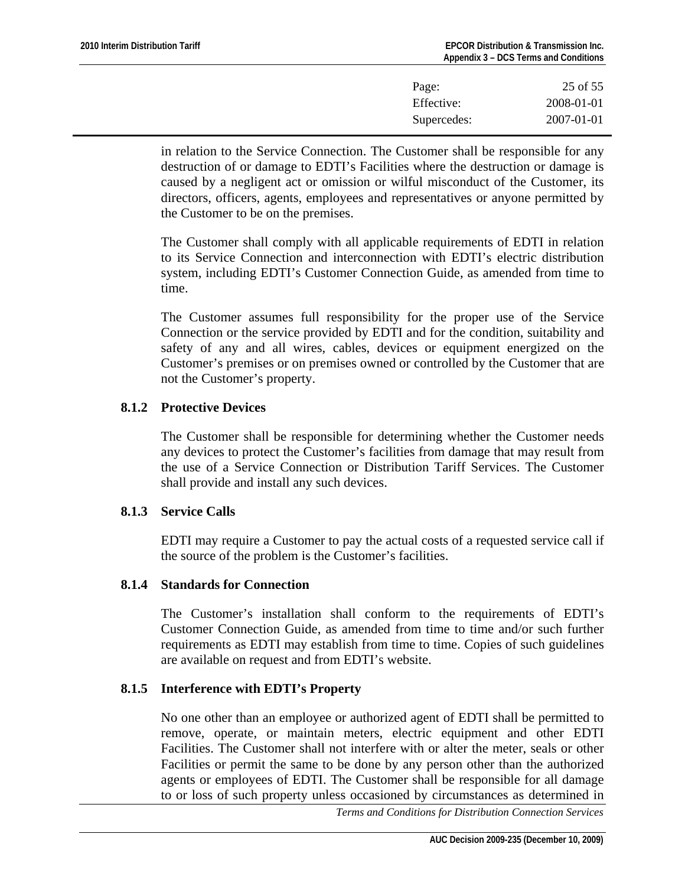| Page:       | 25 of 55   |
|-------------|------------|
| Effective:  | 2008-01-01 |
| Supercedes: | 2007-01-01 |

in relation to the Service Connection. The Customer shall be responsible for any destruction of or damage to EDTI's Facilities where the destruction or damage is caused by a negligent act or omission or wilful misconduct of the Customer, its directors, officers, agents, employees and representatives or anyone permitted by the Customer to be on the premises.

The Customer shall comply with all applicable requirements of EDTI in relation to its Service Connection and interconnection with EDTI's electric distribution system, including EDTI's Customer Connection Guide, as amended from time to time.

The Customer assumes full responsibility for the proper use of the Service Connection or the service provided by EDTI and for the condition, suitability and safety of any and all wires, cables, devices or equipment energized on the Customer's premises or on premises owned or controlled by the Customer that are not the Customer's property.

# **8.1.2 Protective Devices**

The Customer shall be responsible for determining whether the Customer needs any devices to protect the Customer's facilities from damage that may result from the use of a Service Connection or Distribution Tariff Services. The Customer shall provide and install any such devices.

# **8.1.3 Service Calls**

EDTI may require a Customer to pay the actual costs of a requested service call if the source of the problem is the Customer's facilities.

#### **8.1.4 Standards for Connection**

The Customer's installation shall conform to the requirements of EDTI's Customer Connection Guide, as amended from time to time and/or such further requirements as EDTI may establish from time to time. Copies of such guidelines are available on request and from EDTI's website.

# **8.1.5 Interference with EDTI's Property**

No one other than an employee or authorized agent of EDTI shall be permitted to remove, operate, or maintain meters, electric equipment and other EDTI Facilities. The Customer shall not interfere with or alter the meter, seals or other Facilities or permit the same to be done by any person other than the authorized agents or employees of EDTI. The Customer shall be responsible for all damage to or loss of such property unless occasioned by circumstances as determined in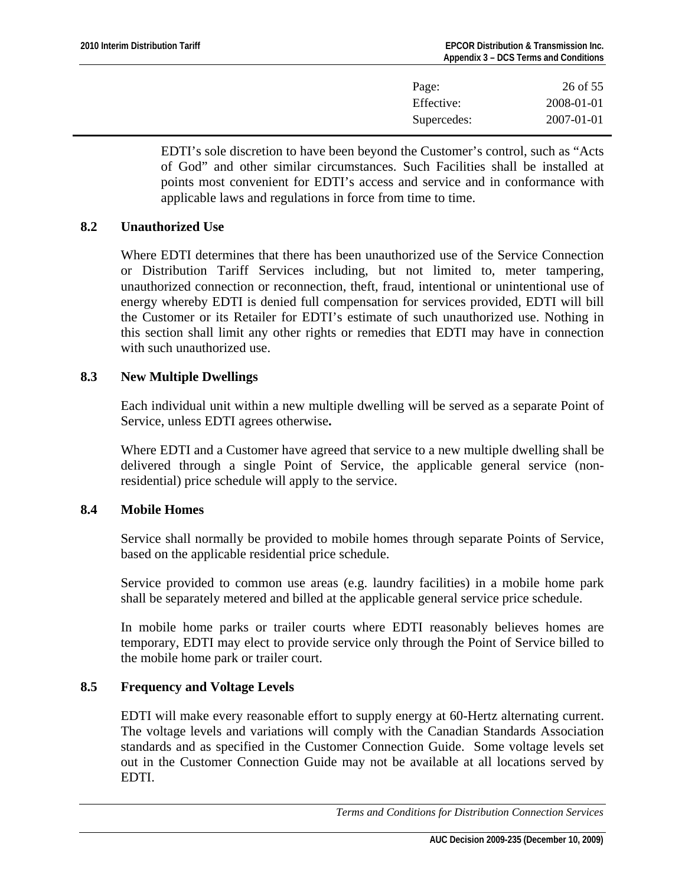| Page:       | 26 of 55         |
|-------------|------------------|
| Effective:  | 2008-01-01       |
| Supercedes: | $2007 - 01 - 01$ |

<span id="page-25-0"></span>EDTI's sole discretion to have been beyond the Customer's control, such as "Acts of God" and other similar circumstances. Such Facilities shall be installed at points most convenient for EDTI's access and service and in conformance with applicable laws and regulations in force from time to time.

## **8.2 Unauthorized Use**

Where EDTI determines that there has been unauthorized use of the Service Connection or Distribution Tariff Services including, but not limited to, meter tampering, unauthorized connection or reconnection, theft, fraud, intentional or unintentional use of energy whereby EDTI is denied full compensation for services provided, EDTI will bill the Customer or its Retailer for EDTI's estimate of such unauthorized use. Nothing in this section shall limit any other rights or remedies that EDTI may have in connection with such unauthorized use.

## **8.3 New Multiple Dwellings**

Each individual unit within a new multiple dwelling will be served as a separate Point of Service, unless EDTI agrees otherwise**.**

Where EDTI and a Customer have agreed that service to a new multiple dwelling shall be delivered through a single Point of Service, the applicable general service (nonresidential) price schedule will apply to the service.

#### **8.4 Mobile Homes**

Service shall normally be provided to mobile homes through separate Points of Service, based on the applicable residential price schedule.

Service provided to common use areas (e.g. laundry facilities) in a mobile home park shall be separately metered and billed at the applicable general service price schedule.

In mobile home parks or trailer courts where EDTI reasonably believes homes are temporary, EDTI may elect to provide service only through the Point of Service billed to the mobile home park or trailer court.

## **8.5 Frequency and Voltage Levels**

EDTI will make every reasonable effort to supply energy at 60-Hertz alternating current. The voltage levels and variations will comply with the Canadian Standards Association standards and as specified in the Customer Connection Guide. Some voltage levels set out in the Customer Connection Guide may not be available at all locations served by EDTI.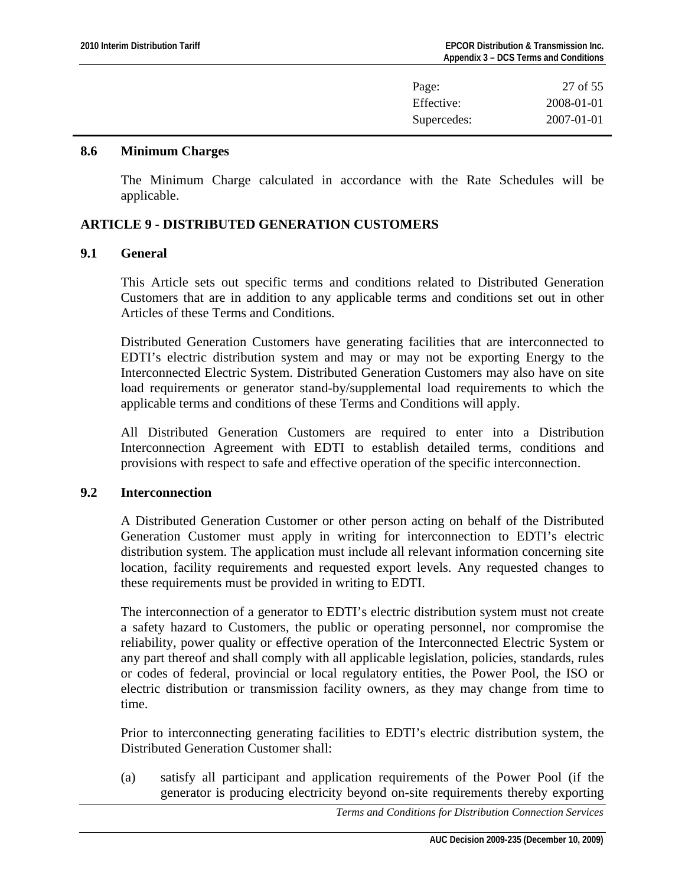| Page:       | 27 of 55   |
|-------------|------------|
| Effective:  | 2008-01-01 |
| Supercedes: | 2007-01-01 |

#### <span id="page-26-0"></span>**8.6 Minimum Charges**

The Minimum Charge calculated in accordance with the Rate Schedules will be applicable.

## **ARTICLE 9 - DISTRIBUTED GENERATION CUSTOMERS**

## **9.1 General**

This Article sets out specific terms and conditions related to Distributed Generation Customers that are in addition to any applicable terms and conditions set out in other Articles of these Terms and Conditions.

Distributed Generation Customers have generating facilities that are interconnected to EDTI's electric distribution system and may or may not be exporting Energy to the Interconnected Electric System. Distributed Generation Customers may also have on site load requirements or generator stand-by/supplemental load requirements to which the applicable terms and conditions of these Terms and Conditions will apply.

All Distributed Generation Customers are required to enter into a Distribution Interconnection Agreement with EDTI to establish detailed terms, conditions and provisions with respect to safe and effective operation of the specific interconnection.

#### **9.2 Interconnection**

A Distributed Generation Customer or other person acting on behalf of the Distributed Generation Customer must apply in writing for interconnection to EDTI's electric distribution system. The application must include all relevant information concerning site location, facility requirements and requested export levels. Any requested changes to these requirements must be provided in writing to EDTI.

The interconnection of a generator to EDTI's electric distribution system must not create a safety hazard to Customers, the public or operating personnel, nor compromise the reliability, power quality or effective operation of the Interconnected Electric System or any part thereof and shall comply with all applicable legislation, policies, standards, rules or codes of federal, provincial or local regulatory entities, the Power Pool, the ISO or electric distribution or transmission facility owners, as they may change from time to time.

Prior to interconnecting generating facilities to EDTI's electric distribution system, the Distributed Generation Customer shall:

(a) satisfy all participant and application requirements of the Power Pool (if the generator is producing electricity beyond on-site requirements thereby exporting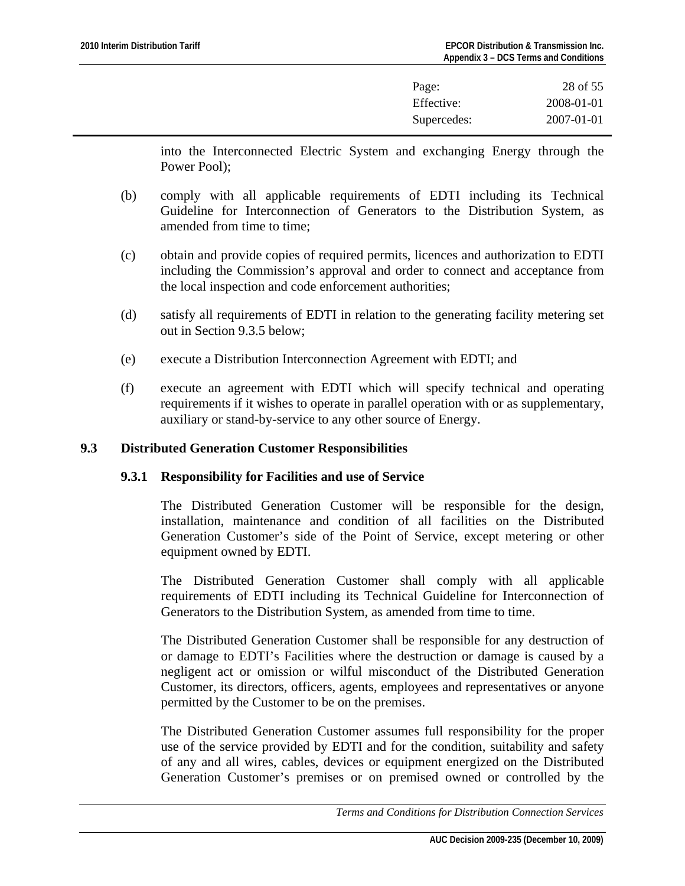| Page:       | 28 of 55         |
|-------------|------------------|
| Effective:  | 2008-01-01       |
| Supercedes: | $2007 - 01 - 01$ |

<span id="page-27-0"></span>into the Interconnected Electric System and exchanging Energy through the Power Pool);

- (b) comply with all applicable requirements of EDTI including its Technical Guideline for Interconnection of Generators to the Distribution System, as amended from time to time;
- (c) obtain and provide copies of required permits, licences and authorization to EDTI including the Commission's approval and order to connect and acceptance from the local inspection and code enforcement authorities;
- (d) satisfy all requirements of EDTI in relation to the generating facility metering set out in Section 9.3.5 below;
- (e) execute a Distribution Interconnection Agreement with EDTI; and
- (f) execute an agreement with EDTI which will specify technical and operating requirements if it wishes to operate in parallel operation with or as supplementary, auxiliary or stand-by-service to any other source of Energy.

## **9.3 Distributed Generation Customer Responsibilities**

#### **9.3.1 Responsibility for Facilities and use of Service**

The Distributed Generation Customer will be responsible for the design, installation, maintenance and condition of all facilities on the Distributed Generation Customer's side of the Point of Service, except metering or other equipment owned by EDTI.

The Distributed Generation Customer shall comply with all applicable requirements of EDTI including its Technical Guideline for Interconnection of Generators to the Distribution System, as amended from time to time.

The Distributed Generation Customer shall be responsible for any destruction of or damage to EDTI's Facilities where the destruction or damage is caused by a negligent act or omission or wilful misconduct of the Distributed Generation Customer, its directors, officers, agents, employees and representatives or anyone permitted by the Customer to be on the premises.

The Distributed Generation Customer assumes full responsibility for the proper use of the service provided by EDTI and for the condition, suitability and safety of any and all wires, cables, devices or equipment energized on the Distributed Generation Customer's premises or on premised owned or controlled by the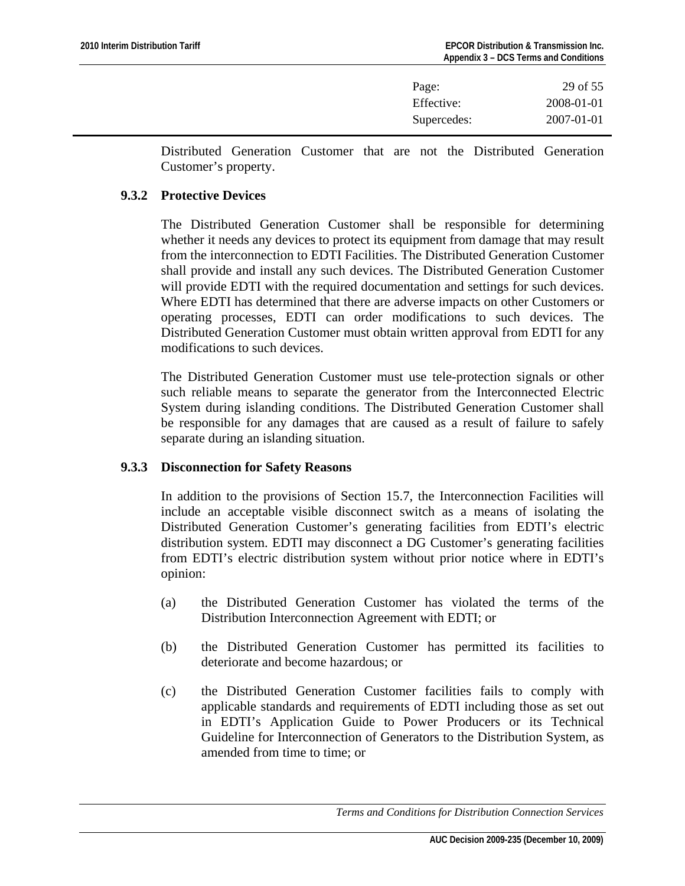| Page:       | 29 of 55         |
|-------------|------------------|
| Effective:  | 2008-01-01       |
| Supercedes: | $2007 - 01 - 01$ |

Distributed Generation Customer that are not the Distributed Generation Customer's property.

#### **9.3.2 Protective Devices**

The Distributed Generation Customer shall be responsible for determining whether it needs any devices to protect its equipment from damage that may result from the interconnection to EDTI Facilities. The Distributed Generation Customer shall provide and install any such devices. The Distributed Generation Customer will provide EDTI with the required documentation and settings for such devices. Where EDTI has determined that there are adverse impacts on other Customers or operating processes, EDTI can order modifications to such devices. The Distributed Generation Customer must obtain written approval from EDTI for any modifications to such devices.

The Distributed Generation Customer must use tele-protection signals or other such reliable means to separate the generator from the Interconnected Electric System during islanding conditions. The Distributed Generation Customer shall be responsible for any damages that are caused as a result of failure to safely separate during an islanding situation.

# **9.3.3 Disconnection for Safety Reasons**

In addition to the provisions of Section 15.7, the Interconnection Facilities will include an acceptable visible disconnect switch as a means of isolating the Distributed Generation Customer's generating facilities from EDTI's electric distribution system. EDTI may disconnect a DG Customer's generating facilities from EDTI's electric distribution system without prior notice where in EDTI's opinion:

- (a) the Distributed Generation Customer has violated the terms of the Distribution Interconnection Agreement with EDTI; or
- (b) the Distributed Generation Customer has permitted its facilities to deteriorate and become hazardous; or
- (c) the Distributed Generation Customer facilities fails to comply with applicable standards and requirements of EDTI including those as set out in EDTI's Application Guide to Power Producers or its Technical Guideline for Interconnection of Generators to the Distribution System, as amended from time to time; or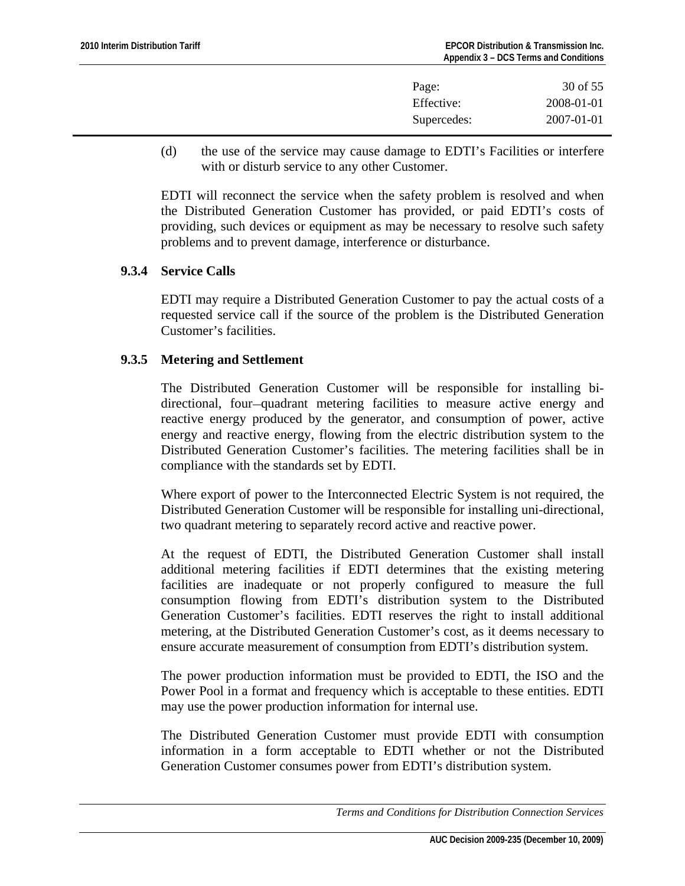| Page:       | 30 of 55         |
|-------------|------------------|
| Effective:  | 2008-01-01       |
| Supercedes: | $2007 - 01 - 01$ |

(d) the use of the service may cause damage to EDTI's Facilities or interfere with or disturb service to any other Customer.

EDTI will reconnect the service when the safety problem is resolved and when the Distributed Generation Customer has provided, or paid EDTI's costs of providing, such devices or equipment as may be necessary to resolve such safety problems and to prevent damage, interference or disturbance.

## **9.3.4 Service Calls**

EDTI may require a Distributed Generation Customer to pay the actual costs of a requested service call if the source of the problem is the Distributed Generation Customer's facilities.

## **9.3.5 Metering and Settlement**

The Distributed Generation Customer will be responsible for installing bidirectional, four-quadrant metering facilities to measure active energy and reactive energy produced by the generator, and consumption of power, active energy and reactive energy, flowing from the electric distribution system to the Distributed Generation Customer's facilities. The metering facilities shall be in compliance with the standards set by EDTI.

Where export of power to the Interconnected Electric System is not required, the Distributed Generation Customer will be responsible for installing uni-directional, two quadrant metering to separately record active and reactive power.

At the request of EDTI, the Distributed Generation Customer shall install additional metering facilities if EDTI determines that the existing metering facilities are inadequate or not properly configured to measure the full consumption flowing from EDTI's distribution system to the Distributed Generation Customer's facilities. EDTI reserves the right to install additional metering, at the Distributed Generation Customer's cost, as it deems necessary to ensure accurate measurement of consumption from EDTI's distribution system.

The power production information must be provided to EDTI, the ISO and the Power Pool in a format and frequency which is acceptable to these entities. EDTI may use the power production information for internal use.

The Distributed Generation Customer must provide EDTI with consumption information in a form acceptable to EDTI whether or not the Distributed Generation Customer consumes power from EDTI's distribution system.

*Terms and Conditions for Distribution Connection Services*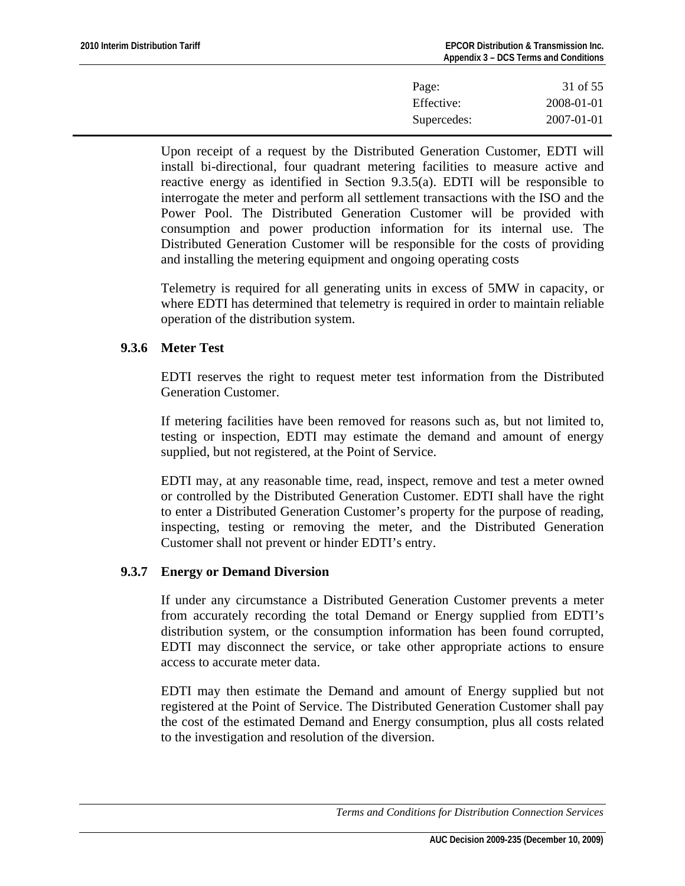| Page:       | 31 of 55         |
|-------------|------------------|
| Effective:  | 2008-01-01       |
| Supercedes: | $2007 - 01 - 01$ |

Upon receipt of a request by the Distributed Generation Customer, EDTI will install bi-directional, four quadrant metering facilities to measure active and reactive energy as identified in Section 9.3.5(a). EDTI will be responsible to interrogate the meter and perform all settlement transactions with the ISO and the Power Pool. The Distributed Generation Customer will be provided with consumption and power production information for its internal use. The Distributed Generation Customer will be responsible for the costs of providing and installing the metering equipment and ongoing operating costs

Telemetry is required for all generating units in excess of 5MW in capacity, or where EDTI has determined that telemetry is required in order to maintain reliable operation of the distribution system.

## **9.3.6 Meter Test**

EDTI reserves the right to request meter test information from the Distributed Generation Customer.

If metering facilities have been removed for reasons such as, but not limited to, testing or inspection, EDTI may estimate the demand and amount of energy supplied, but not registered, at the Point of Service.

EDTI may, at any reasonable time, read, inspect, remove and test a meter owned or controlled by the Distributed Generation Customer. EDTI shall have the right to enter a Distributed Generation Customer's property for the purpose of reading, inspecting, testing or removing the meter, and the Distributed Generation Customer shall not prevent or hinder EDTI's entry.

#### **9.3.7 Energy or Demand Diversion**

If under any circumstance a Distributed Generation Customer prevents a meter from accurately recording the total Demand or Energy supplied from EDTI's distribution system, or the consumption information has been found corrupted, EDTI may disconnect the service, or take other appropriate actions to ensure access to accurate meter data.

EDTI may then estimate the Demand and amount of Energy supplied but not registered at the Point of Service. The Distributed Generation Customer shall pay the cost of the estimated Demand and Energy consumption, plus all costs related to the investigation and resolution of the diversion.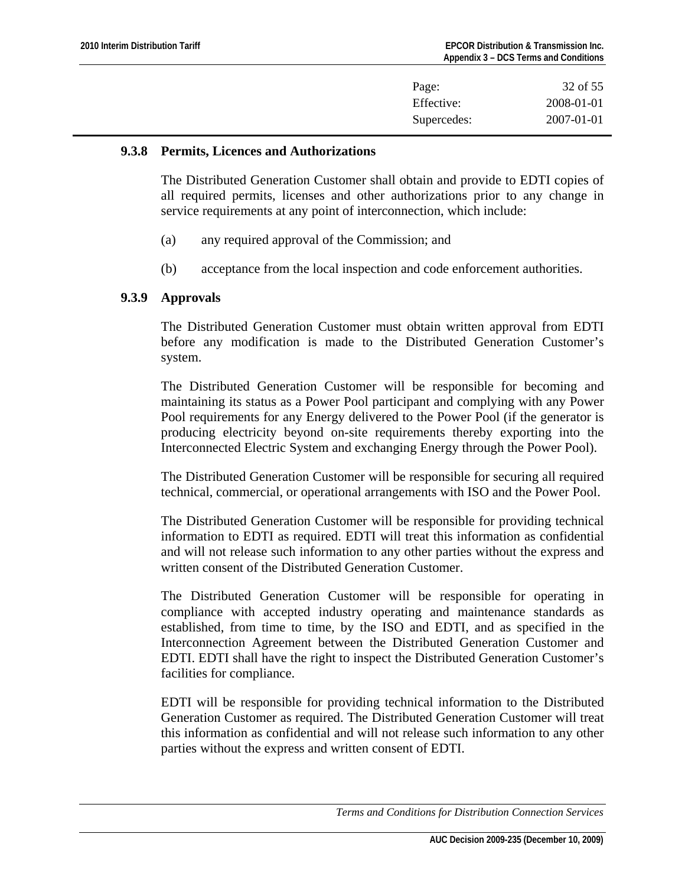| Page:       | 32 of 55         |
|-------------|------------------|
| Effective:  | 2008-01-01       |
| Supercedes: | $2007 - 01 - 01$ |

#### **9.3.8 Permits, Licences and Authorizations**

The Distributed Generation Customer shall obtain and provide to EDTI copies of all required permits, licenses and other authorizations prior to any change in service requirements at any point of interconnection, which include:

- (a) any required approval of the Commission; and
- (b) acceptance from the local inspection and code enforcement authorities.

## **9.3.9 Approvals**

The Distributed Generation Customer must obtain written approval from EDTI before any modification is made to the Distributed Generation Customer's system.

The Distributed Generation Customer will be responsible for becoming and maintaining its status as a Power Pool participant and complying with any Power Pool requirements for any Energy delivered to the Power Pool (if the generator is producing electricity beyond on-site requirements thereby exporting into the Interconnected Electric System and exchanging Energy through the Power Pool).

The Distributed Generation Customer will be responsible for securing all required technical, commercial, or operational arrangements with ISO and the Power Pool.

The Distributed Generation Customer will be responsible for providing technical information to EDTI as required. EDTI will treat this information as confidential and will not release such information to any other parties without the express and written consent of the Distributed Generation Customer.

The Distributed Generation Customer will be responsible for operating in compliance with accepted industry operating and maintenance standards as established, from time to time, by the ISO and EDTI, and as specified in the Interconnection Agreement between the Distributed Generation Customer and EDTI. EDTI shall have the right to inspect the Distributed Generation Customer's facilities for compliance.

EDTI will be responsible for providing technical information to the Distributed Generation Customer as required. The Distributed Generation Customer will treat this information as confidential and will not release such information to any other parties without the express and written consent of EDTI.

*Terms and Conditions for Distribution Connection Services*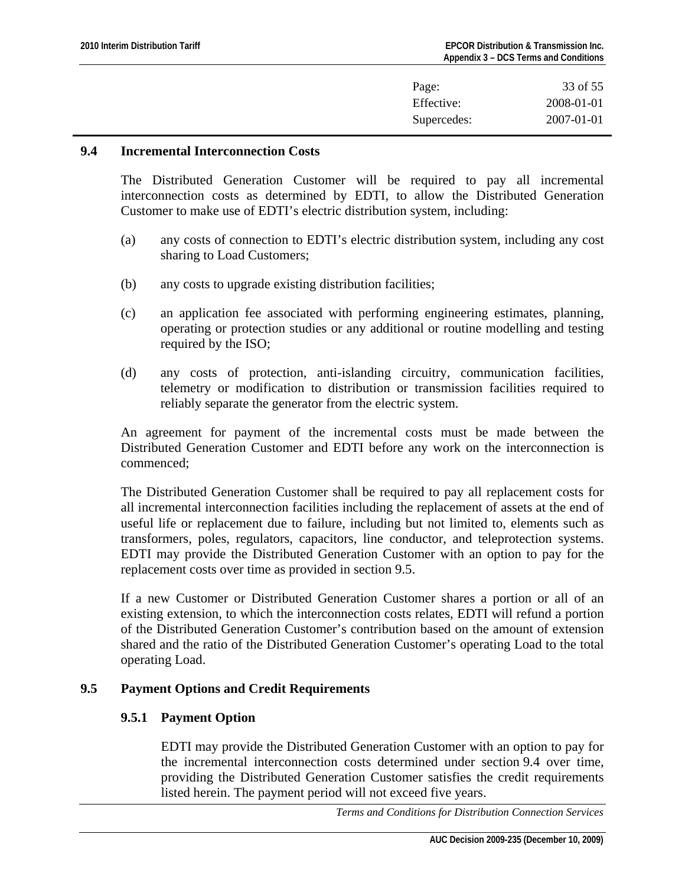| Page:       | 33 of 55         |
|-------------|------------------|
| Effective:  | 2008-01-01       |
| Supercedes: | $2007 - 01 - 01$ |

#### <span id="page-32-0"></span>**9.4 Incremental Interconnection Costs**

The Distributed Generation Customer will be required to pay all incremental interconnection costs as determined by EDTI, to allow the Distributed Generation Customer to make use of EDTI's electric distribution system, including:

- (a) any costs of connection to EDTI's electric distribution system, including any cost sharing to Load Customers;
- (b) any costs to upgrade existing distribution facilities;
- (c) an application fee associated with performing engineering estimates, planning, operating or protection studies or any additional or routine modelling and testing required by the ISO;
- (d) any costs of protection, anti-islanding circuitry, communication facilities, telemetry or modification to distribution or transmission facilities required to reliably separate the generator from the electric system.

An agreement for payment of the incremental costs must be made between the Distributed Generation Customer and EDTI before any work on the interconnection is commenced;

The Distributed Generation Customer shall be required to pay all replacement costs for all incremental interconnection facilities including the replacement of assets at the end of useful life or replacement due to failure, including but not limited to, elements such as transformers, poles, regulators, capacitors, line conductor, and teleprotection systems. EDTI may provide the Distributed Generation Customer with an option to pay for the replacement costs over time as provided in section 9.5.

If a new Customer or Distributed Generation Customer shares a portion or all of an existing extension, to which the interconnection costs relates, EDTI will refund a portion of the Distributed Generation Customer's contribution based on the amount of extension shared and the ratio of the Distributed Generation Customer's operating Load to the total operating Load.

# **9.5 Payment Options and Credit Requirements**

# **9.5.1 Payment Option**

EDTI may provide the Distributed Generation Customer with an option to pay for the incremental interconnection costs determined under section 9.4 over time, providing the Distributed Generation Customer satisfies the credit requirements listed herein. The payment period will not exceed five years.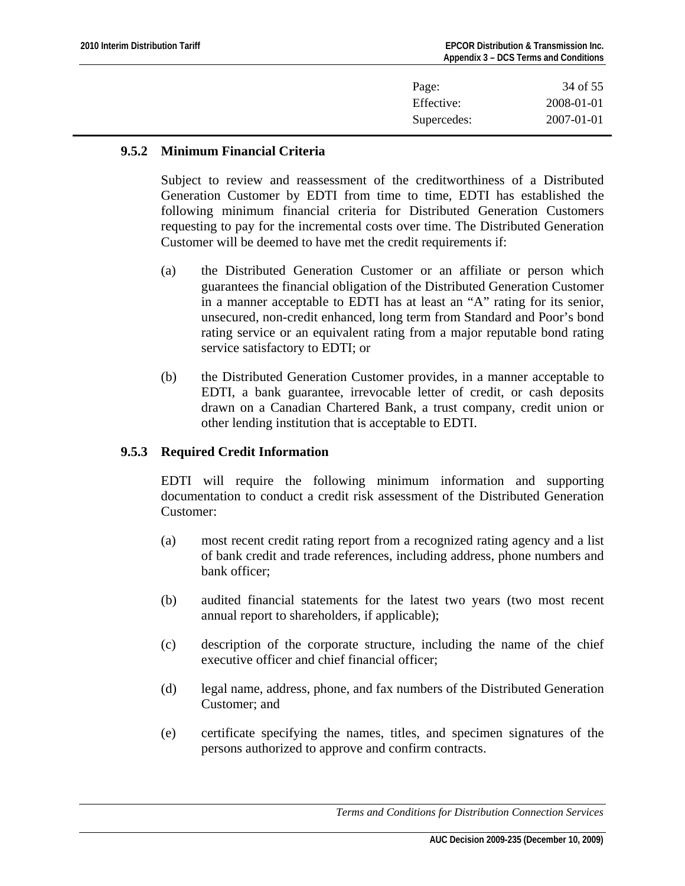| Page:       | 34 of 55         |
|-------------|------------------|
| Effective:  | 2008-01-01       |
| Supercedes: | $2007 - 01 - 01$ |

# **9.5.2 Minimum Financial Criteria**

Subject to review and reassessment of the creditworthiness of a Distributed Generation Customer by EDTI from time to time, EDTI has established the following minimum financial criteria for Distributed Generation Customers requesting to pay for the incremental costs over time. The Distributed Generation Customer will be deemed to have met the credit requirements if:

- (a) the Distributed Generation Customer or an affiliate or person which guarantees the financial obligation of the Distributed Generation Customer in a manner acceptable to EDTI has at least an "A" rating for its senior, unsecured, non-credit enhanced, long term from Standard and Poor's bond rating service or an equivalent rating from a major reputable bond rating service satisfactory to EDTI; or
- (b) the Distributed Generation Customer provides, in a manner acceptable to EDTI, a bank guarantee, irrevocable letter of credit, or cash deposits drawn on a Canadian Chartered Bank, a trust company, credit union or other lending institution that is acceptable to EDTI.

# **9.5.3 Required Credit Information**

EDTI will require the following minimum information and supporting documentation to conduct a credit risk assessment of the Distributed Generation Customer:

- (a) most recent credit rating report from a recognized rating agency and a list of bank credit and trade references, including address, phone numbers and bank officer;
- (b) audited financial statements for the latest two years (two most recent annual report to shareholders, if applicable);
- (c) description of the corporate structure, including the name of the chief executive officer and chief financial officer;
- (d) legal name, address, phone, and fax numbers of the Distributed Generation Customer; and
- (e) certificate specifying the names, titles, and specimen signatures of the persons authorized to approve and confirm contracts.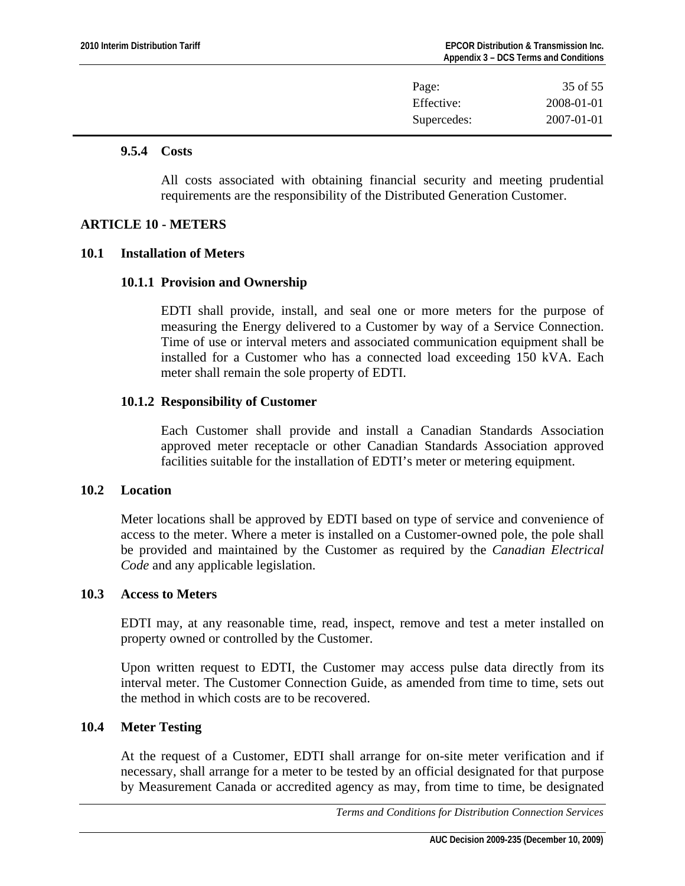<span id="page-34-0"></span>

| Page:       | 35 of 55   |
|-------------|------------|
| Effective:  | 2008-01-01 |
| Supercedes: | 2007-01-01 |

#### **9.5.4 Costs**

All costs associated with obtaining financial security and meeting prudential requirements are the responsibility of the Distributed Generation Customer.

# **ARTICLE 10 - METERS**

#### **10.1 Installation of Meters**

## **10.1.1 Provision and Ownership**

EDTI shall provide, install, and seal one or more meters for the purpose of measuring the Energy delivered to a Customer by way of a Service Connection. Time of use or interval meters and associated communication equipment shall be installed for a Customer who has a connected load exceeding 150 kVA. Each meter shall remain the sole property of EDTI.

# **10.1.2 Responsibility of Customer**

Each Customer shall provide and install a Canadian Standards Association approved meter receptacle or other Canadian Standards Association approved facilities suitable for the installation of EDTI's meter or metering equipment.

#### **10.2 Location**

Meter locations shall be approved by EDTI based on type of service and convenience of access to the meter. Where a meter is installed on a Customer-owned pole, the pole shall be provided and maintained by the Customer as required by the *Canadian Electrical Code* and any applicable legislation.

#### **10.3 Access to Meters**

EDTI may, at any reasonable time, read, inspect, remove and test a meter installed on property owned or controlled by the Customer.

Upon written request to EDTI, the Customer may access pulse data directly from its interval meter. The Customer Connection Guide, as amended from time to time, sets out the method in which costs are to be recovered.

# **10.4 Meter Testing**

At the request of a Customer, EDTI shall arrange for on-site meter verification and if necessary, shall arrange for a meter to be tested by an official designated for that purpose by Measurement Canada or accredited agency as may, from time to time, be designated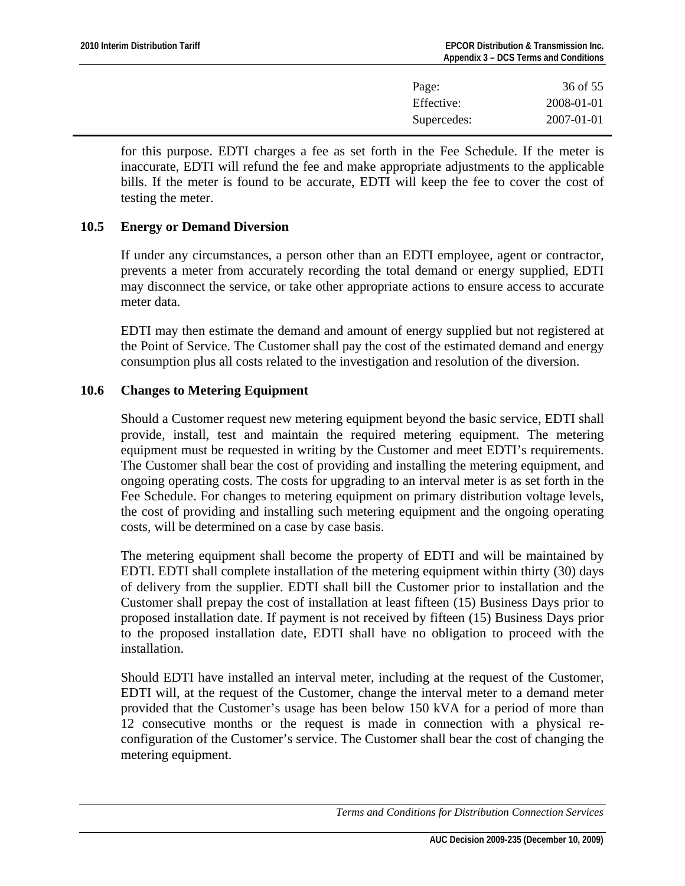| Page:       | 36 of 55         |
|-------------|------------------|
| Effective:  | 2008-01-01       |
| Supercedes: | $2007 - 01 - 01$ |

<span id="page-35-0"></span>for this purpose. EDTI charges a fee as set forth in the Fee Schedule. If the meter is inaccurate, EDTI will refund the fee and make appropriate adjustments to the applicable bills. If the meter is found to be accurate, EDTI will keep the fee to cover the cost of testing the meter.

## **10.5 Energy or Demand Diversion**

If under any circumstances, a person other than an EDTI employee, agent or contractor, prevents a meter from accurately recording the total demand or energy supplied, EDTI may disconnect the service, or take other appropriate actions to ensure access to accurate meter data.

EDTI may then estimate the demand and amount of energy supplied but not registered at the Point of Service. The Customer shall pay the cost of the estimated demand and energy consumption plus all costs related to the investigation and resolution of the diversion.

# **10.6 Changes to Metering Equipment**

Should a Customer request new metering equipment beyond the basic service, EDTI shall provide, install, test and maintain the required metering equipment. The metering equipment must be requested in writing by the Customer and meet EDTI's requirements. The Customer shall bear the cost of providing and installing the metering equipment, and ongoing operating costs. The costs for upgrading to an interval meter is as set forth in the Fee Schedule. For changes to metering equipment on primary distribution voltage levels, the cost of providing and installing such metering equipment and the ongoing operating costs, will be determined on a case by case basis.

The metering equipment shall become the property of EDTI and will be maintained by EDTI. EDTI shall complete installation of the metering equipment within thirty (30) days of delivery from the supplier. EDTI shall bill the Customer prior to installation and the Customer shall prepay the cost of installation at least fifteen (15) Business Days prior to proposed installation date. If payment is not received by fifteen (15) Business Days prior to the proposed installation date, EDTI shall have no obligation to proceed with the installation.

Should EDTI have installed an interval meter, including at the request of the Customer, EDTI will, at the request of the Customer, change the interval meter to a demand meter provided that the Customer's usage has been below 150 kVA for a period of more than 12 consecutive months or the request is made in connection with a physical reconfiguration of the Customer's service. The Customer shall bear the cost of changing the metering equipment.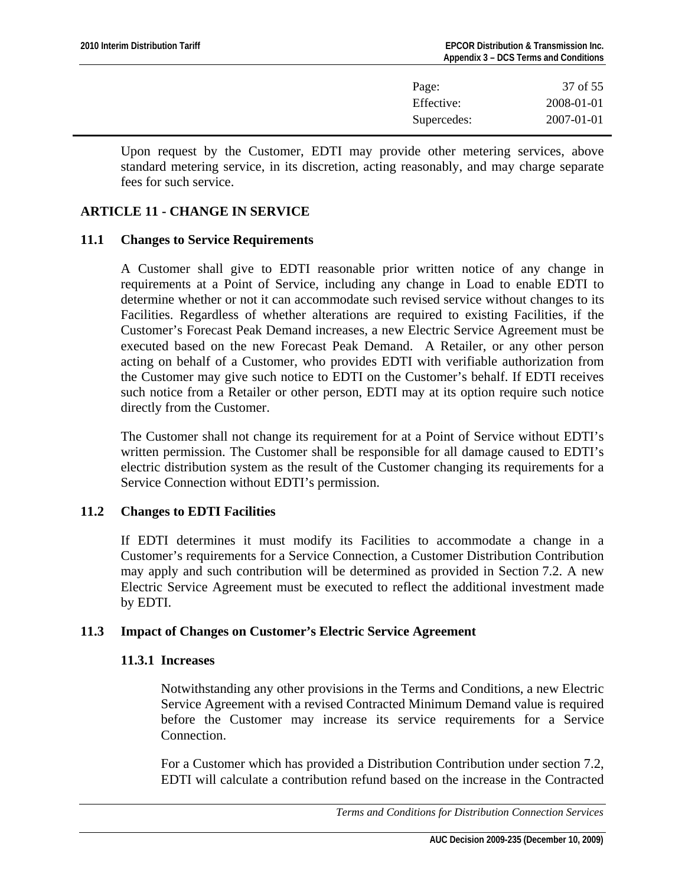| 37 of 55   |
|------------|
| 2008-01-01 |
| 2007-01-01 |
|            |

<span id="page-36-0"></span>Upon request by the Customer, EDTI may provide other metering services, above standard metering service, in its discretion, acting reasonably, and may charge separate fees for such service.

## **ARTICLE 11 - CHANGE IN SERVICE**

#### **11.1 Changes to Service Requirements**

A Customer shall give to EDTI reasonable prior written notice of any change in requirements at a Point of Service, including any change in Load to enable EDTI to determine whether or not it can accommodate such revised service without changes to its Facilities. Regardless of whether alterations are required to existing Facilities, if the Customer's Forecast Peak Demand increases, a new Electric Service Agreement must be executed based on the new Forecast Peak Demand.A Retailer, or any other person acting on behalf of a Customer, who provides EDTI with verifiable authorization from the Customer may give such notice to EDTI on the Customer's behalf. If EDTI receives such notice from a Retailer or other person, EDTI may at its option require such notice directly from the Customer.

The Customer shall not change its requirement for at a Point of Service without EDTI's written permission. The Customer shall be responsible for all damage caused to EDTI's electric distribution system as the result of the Customer changing its requirements for a Service Connection without EDTI's permission.

#### **11.2 Changes to EDTI Facilities**

If EDTI determines it must modify its Facilities to accommodate a change in a Customer's requirements for a Service Connection, a Customer Distribution Contribution may apply and such contribution will be determined as provided in Section 7.2. A new Electric Service Agreement must be executed to reflect the additional investment made by EDTI.

#### **11.3 Impact of Changes on Customer's Electric Service Agreement**

#### **11.3.1 Increases**

Notwithstanding any other provisions in the Terms and Conditions, a new Electric Service Agreement with a revised Contracted Minimum Demand value is required before the Customer may increase its service requirements for a Service Connection.

For a Customer which has provided a Distribution Contribution under section 7.2, EDTI will calculate a contribution refund based on the increase in the Contracted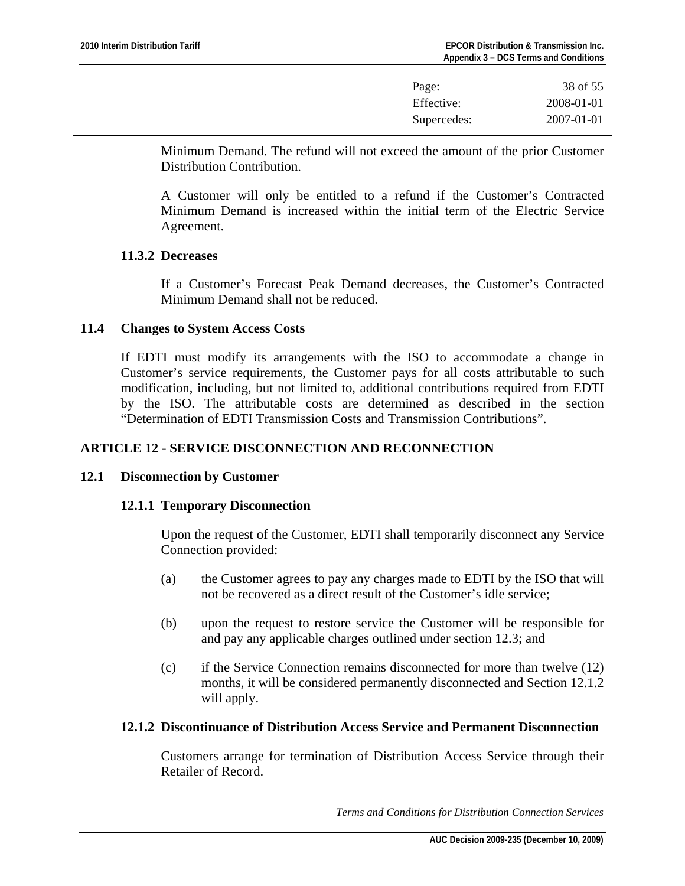| Page:       | 38 of 55   |
|-------------|------------|
| Effective:  | 2008-01-01 |
| Supercedes: | 2007-01-01 |

<span id="page-37-0"></span>Minimum Demand. The refund will not exceed the amount of the prior Customer Distribution Contribution.

A Customer will only be entitled to a refund if the Customer's Contracted Minimum Demand is increased within the initial term of the Electric Service Agreement.

## **11.3.2 Decreases**

If a Customer's Forecast Peak Demand decreases, the Customer's Contracted Minimum Demand shall not be reduced.

## **11.4 Changes to System Access Costs**

If EDTI must modify its arrangements with the ISO to accommodate a change in Customer's service requirements, the Customer pays for all costs attributable to such modification, including, but not limited to, additional contributions required from EDTI by the ISO. The attributable costs are determined as described in the section "Determination of EDTI Transmission Costs and Transmission Contributions".

# **ARTICLE 12 - SERVICE DISCONNECTION AND RECONNECTION**

#### **12.1 Disconnection by Customer**

#### **12.1.1 Temporary Disconnection**

Upon the request of the Customer, EDTI shall temporarily disconnect any Service Connection provided:

- (a) the Customer agrees to pay any charges made to EDTI by the ISO that will not be recovered as a direct result of the Customer's idle service;
- (b) upon the request to restore service the Customer will be responsible for and pay any applicable charges outlined under section 12.3; and
- (c) if the Service Connection remains disconnected for more than twelve (12) months, it will be considered permanently disconnected and Section 12.1.2 will apply.

#### **12.1.2 Discontinuance of Distribution Access Service and Permanent Disconnection**

Customers arrange for termination of Distribution Access Service through their Retailer of Record.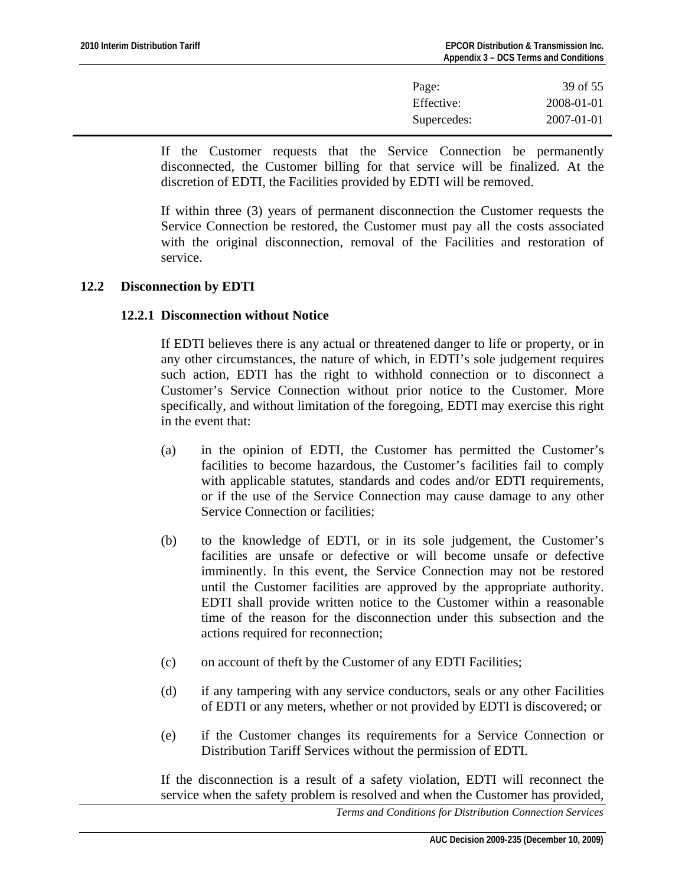| Page:       | 39 of 55   |
|-------------|------------|
| Effective:  | 2008-01-01 |
| Supercedes: | 2007-01-01 |

<span id="page-38-0"></span>If the Customer requests that the Service Connection be permanently disconnected, the Customer billing for that service will be finalized. At the discretion of EDTI, the Facilities provided by EDTI will be removed.

If within three (3) years of permanent disconnection the Customer requests the Service Connection be restored, the Customer must pay all the costs associated with the original disconnection, removal of the Facilities and restoration of service.

## **12.2 Disconnection by EDTI**

## **12.2.1 Disconnection without Notice**

If EDTI believes there is any actual or threatened danger to life or property, or in any other circumstances, the nature of which, in EDTI's sole judgement requires such action, EDTI has the right to withhold connection or to disconnect a Customer's Service Connection without prior notice to the Customer. More specifically, and without limitation of the foregoing, EDTI may exercise this right in the event that:

- (a) in the opinion of EDTI, the Customer has permitted the Customer's facilities to become hazardous, the Customer's facilities fail to comply with applicable statutes, standards and codes and/or EDTI requirements, or if the use of the Service Connection may cause damage to any other Service Connection or facilities;
- (b) to the knowledge of EDTI, or in its sole judgement, the Customer's facilities are unsafe or defective or will become unsafe or defective imminently. In this event, the Service Connection may not be restored until the Customer facilities are approved by the appropriate authority. EDTI shall provide written notice to the Customer within a reasonable time of the reason for the disconnection under this subsection and the actions required for reconnection;
- (c) on account of theft by the Customer of any EDTI Facilities;
- (d) if any tampering with any service conductors, seals or any other Facilities of EDTI or any meters, whether or not provided by EDTI is discovered; or
- (e) if the Customer changes its requirements for a Service Connection or Distribution Tariff Services without the permission of EDTI.

If the disconnection is a result of a safety violation, EDTI will reconnect the service when the safety problem is resolved and when the Customer has provided,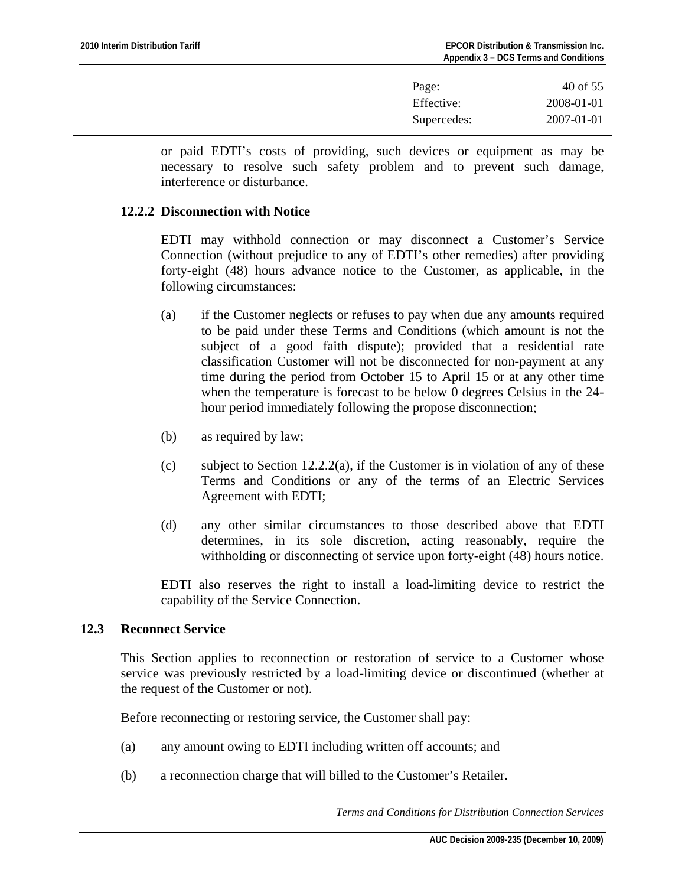| Page:       | 40 of 55   |
|-------------|------------|
| Effective:  | 2008-01-01 |
| Supercedes: | 2007-01-01 |

<span id="page-39-0"></span>or paid EDTI's costs of providing, such devices or equipment as may be necessary to resolve such safety problem and to prevent such damage, interference or disturbance.

#### **12.2.2 Disconnection with Notice**

EDTI may withhold connection or may disconnect a Customer's Service Connection (without prejudice to any of EDTI's other remedies) after providing forty-eight (48) hours advance notice to the Customer, as applicable, in the following circumstances:

- (a) if the Customer neglects or refuses to pay when due any amounts required to be paid under these Terms and Conditions (which amount is not the subject of a good faith dispute); provided that a residential rate classification Customer will not be disconnected for non-payment at any time during the period from October 15 to April 15 or at any other time when the temperature is forecast to be below 0 degrees Celsius in the 24 hour period immediately following the propose disconnection;
- (b) as required by law;
- (c) subject to Section 12.2.2(a), if the Customer is in violation of any of these Terms and Conditions or any of the terms of an Electric Services Agreement with EDTI;
- (d) any other similar circumstances to those described above that EDTI determines, in its sole discretion, acting reasonably, require the withholding or disconnecting of service upon forty-eight (48) hours notice.

EDTI also reserves the right to install a load-limiting device to restrict the capability of the Service Connection.

#### **12.3 Reconnect Service**

This Section applies to reconnection or restoration of service to a Customer whose service was previously restricted by a load-limiting device or discontinued (whether at the request of the Customer or not).

Before reconnecting or restoring service, the Customer shall pay:

- (a) any amount owing to EDTI including written off accounts; and
- (b) a reconnection charge that will billed to the Customer's Retailer.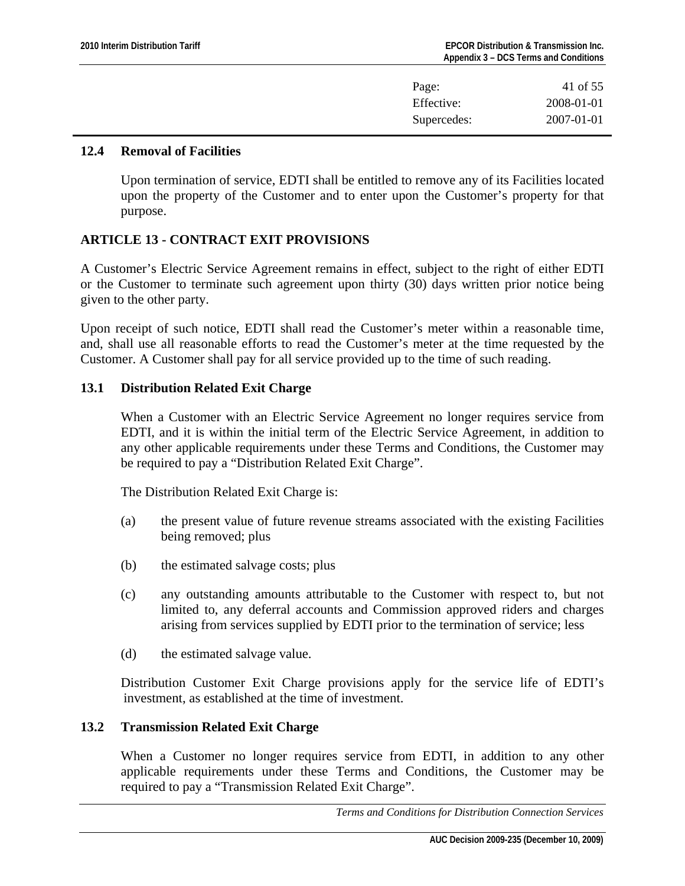| Page:       | 41 of 55         |
|-------------|------------------|
| Effective:  | 2008-01-01       |
| Supercedes: | $2007 - 01 - 01$ |

#### <span id="page-40-0"></span>**12.4 Removal of Facilities**

Upon termination of service, EDTI shall be entitled to remove any of its Facilities located upon the property of the Customer and to enter upon the Customer's property for that purpose.

# **ARTICLE 13 - CONTRACT EXIT PROVISIONS**

A Customer's Electric Service Agreement remains in effect, subject to the right of either EDTI or the Customer to terminate such agreement upon thirty (30) days written prior notice being given to the other party.

Upon receipt of such notice, EDTI shall read the Customer's meter within a reasonable time, and, shall use all reasonable efforts to read the Customer's meter at the time requested by the Customer. A Customer shall pay for all service provided up to the time of such reading.

# **13.1 Distribution Related Exit Charge**

When a Customer with an Electric Service Agreement no longer requires service from EDTI, and it is within the initial term of the Electric Service Agreement, in addition to any other applicable requirements under these Terms and Conditions, the Customer may be required to pay a "Distribution Related Exit Charge".

The Distribution Related Exit Charge is:

- (a) the present value of future revenue streams associated with the existing Facilities being removed; plus
- (b) the estimated salvage costs; plus
- (c) any outstanding amounts attributable to the Customer with respect to, but not limited to, any deferral accounts and Commission approved riders and charges arising from services supplied by EDTI prior to the termination of service; less
- (d) the estimated salvage value.

Distribution Customer Exit Charge provisions apply for the service life of EDTI's investment, as established at the time of investment.

# **13.2 Transmission Related Exit Charge**

When a Customer no longer requires service from EDTI, in addition to any other applicable requirements under these Terms and Conditions, the Customer may be required to pay a "Transmission Related Exit Charge".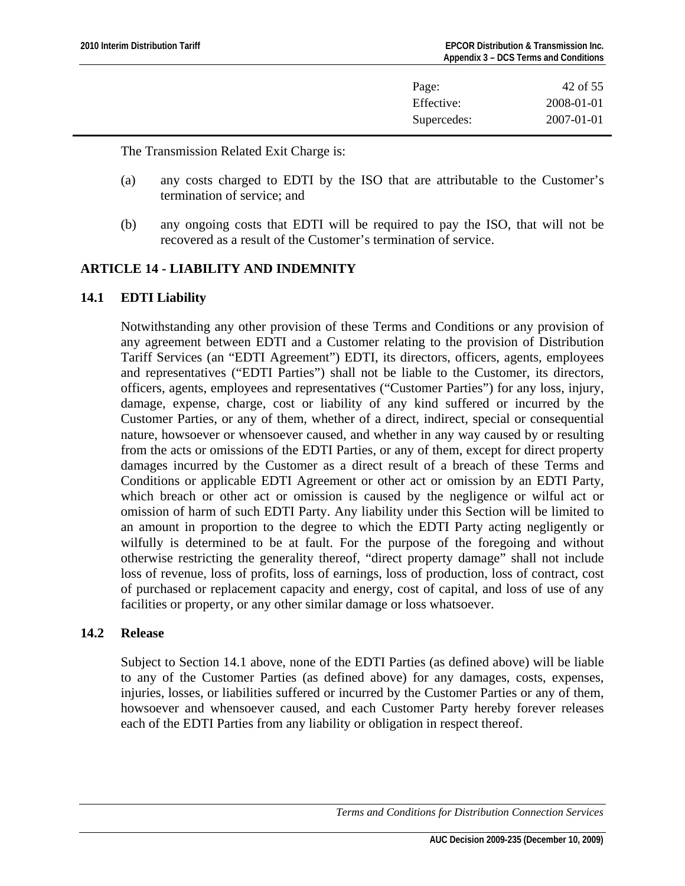| Page:       | 42 of 55         |
|-------------|------------------|
| Effective:  | 2008-01-01       |
| Supercedes: | $2007 - 01 - 01$ |

<span id="page-41-0"></span>The Transmission Related Exit Charge is:

- (a) any costs charged to EDTI by the ISO that are attributable to the Customer's termination of service; and
- (b) any ongoing costs that EDTI will be required to pay the ISO, that will not be recovered as a result of the Customer's termination of service.

# **ARTICLE 14 - LIABILITY AND INDEMNITY**

# **14.1 EDTI Liability**

Notwithstanding any other provision of these Terms and Conditions or any provision of any agreement between EDTI and a Customer relating to the provision of Distribution Tariff Services (an "EDTI Agreement") EDTI, its directors, officers, agents, employees and representatives ("EDTI Parties") shall not be liable to the Customer, its directors, officers, agents, employees and representatives ("Customer Parties") for any loss, injury, damage, expense, charge, cost or liability of any kind suffered or incurred by the Customer Parties, or any of them, whether of a direct, indirect, special or consequential nature, howsoever or whensoever caused, and whether in any way caused by or resulting from the acts or omissions of the EDTI Parties, or any of them, except for direct property damages incurred by the Customer as a direct result of a breach of these Terms and Conditions or applicable EDTI Agreement or other act or omission by an EDTI Party, which breach or other act or omission is caused by the negligence or wilful act or omission of harm of such EDTI Party. Any liability under this Section will be limited to an amount in proportion to the degree to which the EDTI Party acting negligently or wilfully is determined to be at fault. For the purpose of the foregoing and without otherwise restricting the generality thereof, "direct property damage" shall not include loss of revenue, loss of profits, loss of earnings, loss of production, loss of contract, cost of purchased or replacement capacity and energy, cost of capital, and loss of use of any facilities or property, or any other similar damage or loss whatsoever.

# **14.2 Release**

Subject to Section 14.1 above, none of the EDTI Parties (as defined above) will be liable to any of the Customer Parties (as defined above) for any damages, costs, expenses, injuries, losses, or liabilities suffered or incurred by the Customer Parties or any of them, howsoever and whensoever caused, and each Customer Party hereby forever releases each of the EDTI Parties from any liability or obligation in respect thereof.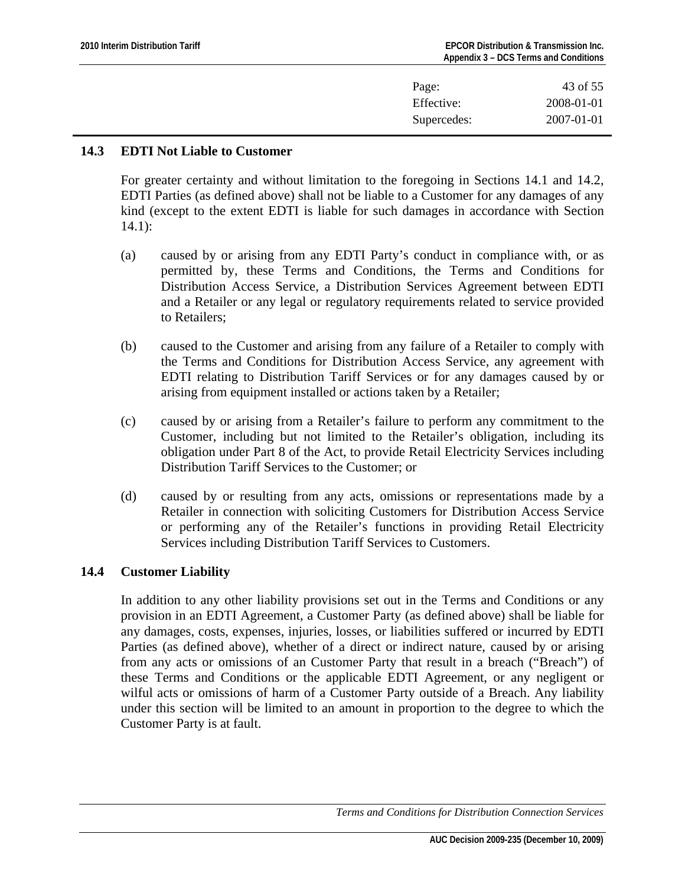| Page:       | 43 of 55         |
|-------------|------------------|
| Effective:  | 2008-01-01       |
| Supercedes: | $2007 - 01 - 01$ |

## <span id="page-42-0"></span>**14.3 EDTI Not Liable to Customer**

For greater certainty and without limitation to the foregoing in Sections 14.1 and 14.2, EDTI Parties (as defined above) shall not be liable to a Customer for any damages of any kind (except to the extent EDTI is liable for such damages in accordance with Section 14.1):

- (a) caused by or arising from any EDTI Party's conduct in compliance with, or as permitted by, these Terms and Conditions, the Terms and Conditions for Distribution Access Service, a Distribution Services Agreement between EDTI and a Retailer or any legal or regulatory requirements related to service provided to Retailers;
- (b) caused to the Customer and arising from any failure of a Retailer to comply with the Terms and Conditions for Distribution Access Service, any agreement with EDTI relating to Distribution Tariff Services or for any damages caused by or arising from equipment installed or actions taken by a Retailer;
- (c) caused by or arising from a Retailer's failure to perform any commitment to the Customer, including but not limited to the Retailer's obligation, including its obligation under Part 8 of the Act, to provide Retail Electricity Services including Distribution Tariff Services to the Customer; or
- (d) caused by or resulting from any acts, omissions or representations made by a Retailer in connection with soliciting Customers for Distribution Access Service or performing any of the Retailer's functions in providing Retail Electricity Services including Distribution Tariff Services to Customers.

#### **14.4 Customer Liability**

In addition to any other liability provisions set out in the Terms and Conditions or any provision in an EDTI Agreement, a Customer Party (as defined above) shall be liable for any damages, costs, expenses, injuries, losses, or liabilities suffered or incurred by EDTI Parties (as defined above), whether of a direct or indirect nature, caused by or arising from any acts or omissions of an Customer Party that result in a breach ("Breach") of these Terms and Conditions or the applicable EDTI Agreement, or any negligent or wilful acts or omissions of harm of a Customer Party outside of a Breach. Any liability under this section will be limited to an amount in proportion to the degree to which the Customer Party is at fault.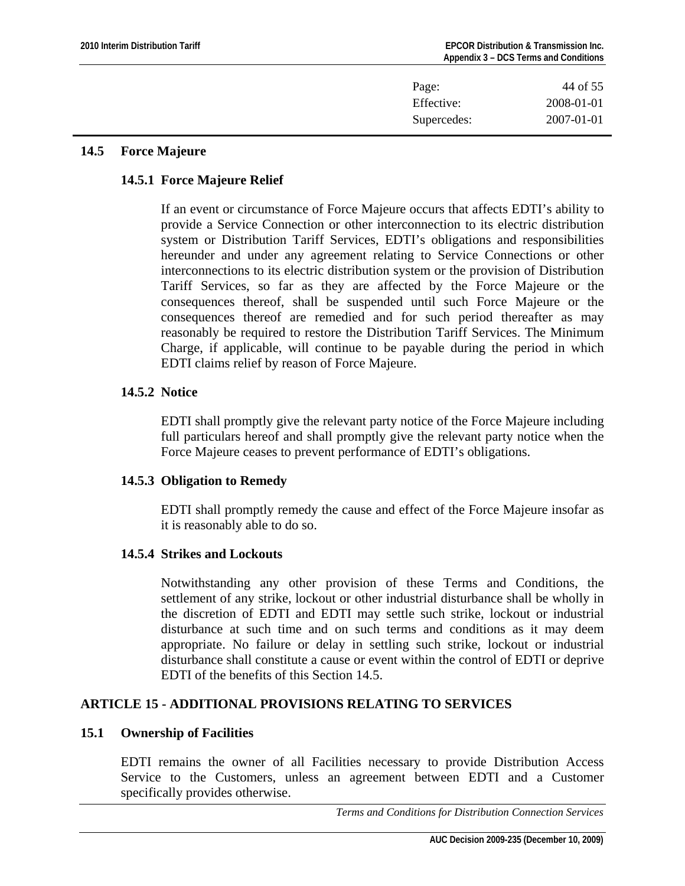<span id="page-43-0"></span>

| Page:       | 44 of 55   |
|-------------|------------|
| Effective:  | 2008-01-01 |
| Supercedes: | 2007-01-01 |

## **14.5 Force Majeure**

# **14.5.1 Force Majeure Relief**

If an event or circumstance of Force Majeure occurs that affects EDTI's ability to provide a Service Connection or other interconnection to its electric distribution system or Distribution Tariff Services, EDTI's obligations and responsibilities hereunder and under any agreement relating to Service Connections or other interconnections to its electric distribution system or the provision of Distribution Tariff Services, so far as they are affected by the Force Majeure or the consequences thereof, shall be suspended until such Force Majeure or the consequences thereof are remedied and for such period thereafter as may reasonably be required to restore the Distribution Tariff Services. The Minimum Charge, if applicable, will continue to be payable during the period in which EDTI claims relief by reason of Force Majeure.

# **14.5.2 Notice**

EDTI shall promptly give the relevant party notice of the Force Majeure including full particulars hereof and shall promptly give the relevant party notice when the Force Majeure ceases to prevent performance of EDTI's obligations.

# **14.5.3 Obligation to Remedy**

EDTI shall promptly remedy the cause and effect of the Force Majeure insofar as it is reasonably able to do so.

# **14.5.4 Strikes and Lockouts**

Notwithstanding any other provision of these Terms and Conditions, the settlement of any strike, lockout or other industrial disturbance shall be wholly in the discretion of EDTI and EDTI may settle such strike, lockout or industrial disturbance at such time and on such terms and conditions as it may deem appropriate. No failure or delay in settling such strike, lockout or industrial disturbance shall constitute a cause or event within the control of EDTI or deprive EDTI of the benefits of this Section 14.5.

# **ARTICLE 15 - ADDITIONAL PROVISIONS RELATING TO SERVICES**

#### **15.1 Ownership of Facilities**

EDTI remains the owner of all Facilities necessary to provide Distribution Access Service to the Customers, unless an agreement between EDTI and a Customer specifically provides otherwise.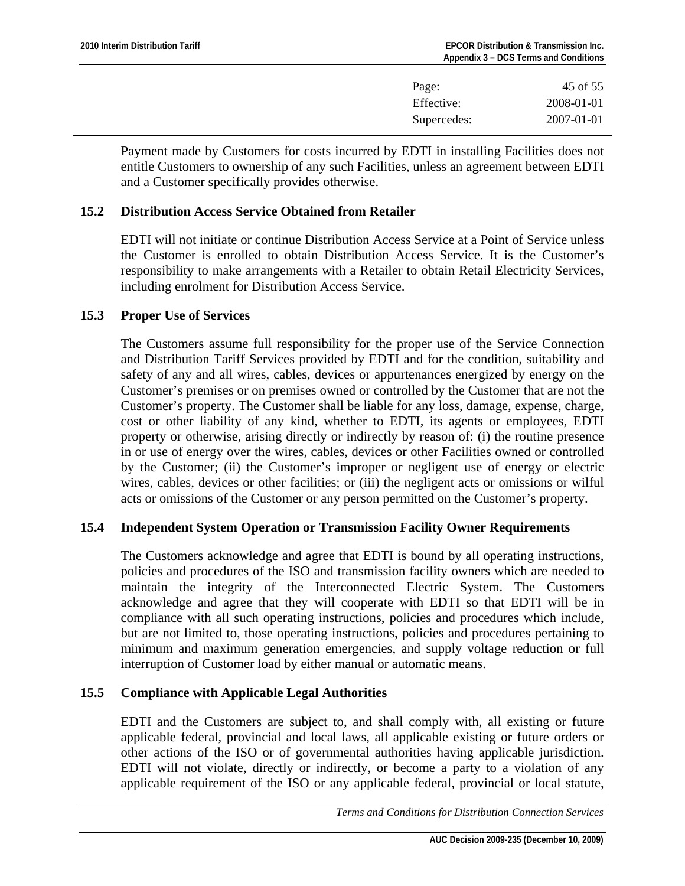| Page:       | 45 of 55   |
|-------------|------------|
| Effective:  | 2008-01-01 |
| Supercedes: | 2007-01-01 |

<span id="page-44-0"></span>Payment made by Customers for costs incurred by EDTI in installing Facilities does not entitle Customers to ownership of any such Facilities, unless an agreement between EDTI and a Customer specifically provides otherwise.

## **15.2 Distribution Access Service Obtained from Retailer**

EDTI will not initiate or continue Distribution Access Service at a Point of Service unless the Customer is enrolled to obtain Distribution Access Service. It is the Customer's responsibility to make arrangements with a Retailer to obtain Retail Electricity Services, including enrolment for Distribution Access Service.

## **15.3 Proper Use of Services**

The Customers assume full responsibility for the proper use of the Service Connection and Distribution Tariff Services provided by EDTI and for the condition, suitability and safety of any and all wires, cables, devices or appurtenances energized by energy on the Customer's premises or on premises owned or controlled by the Customer that are not the Customer's property. The Customer shall be liable for any loss, damage, expense, charge, cost or other liability of any kind, whether to EDTI, its agents or employees, EDTI property or otherwise, arising directly or indirectly by reason of: (i) the routine presence in or use of energy over the wires, cables, devices or other Facilities owned or controlled by the Customer; (ii) the Customer's improper or negligent use of energy or electric wires, cables, devices or other facilities; or (iii) the negligent acts or omissions or wilful acts or omissions of the Customer or any person permitted on the Customer's property.

#### **15.4 Independent System Operation or Transmission Facility Owner Requirements**

The Customers acknowledge and agree that EDTI is bound by all operating instructions, policies and procedures of the ISO and transmission facility owners which are needed to maintain the integrity of the Interconnected Electric System. The Customers acknowledge and agree that they will cooperate with EDTI so that EDTI will be in compliance with all such operating instructions, policies and procedures which include, but are not limited to, those operating instructions, policies and procedures pertaining to minimum and maximum generation emergencies, and supply voltage reduction or full interruption of Customer load by either manual or automatic means.

# **15.5 Compliance with Applicable Legal Authorities**

EDTI and the Customers are subject to, and shall comply with, all existing or future applicable federal, provincial and local laws, all applicable existing or future orders or other actions of the ISO or of governmental authorities having applicable jurisdiction. EDTI will not violate, directly or indirectly, or become a party to a violation of any applicable requirement of the ISO or any applicable federal, provincial or local statute,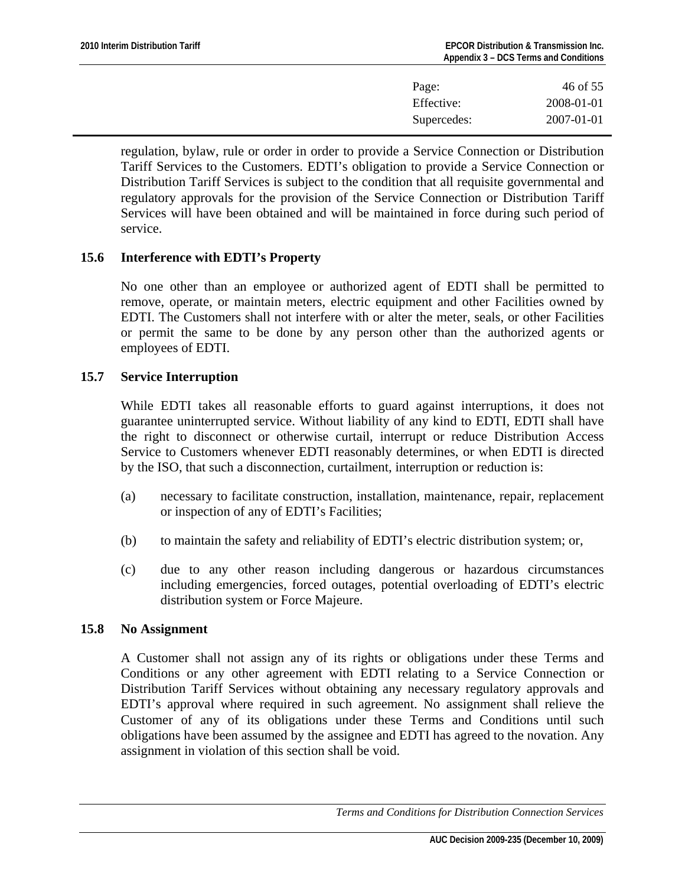| Page:       | 46 of 55         |
|-------------|------------------|
| Effective:  | 2008-01-01       |
| Supercedes: | $2007 - 01 - 01$ |

<span id="page-45-0"></span>regulation, bylaw, rule or order in order to provide a Service Connection or Distribution Tariff Services to the Customers. EDTI's obligation to provide a Service Connection or Distribution Tariff Services is subject to the condition that all requisite governmental and regulatory approvals for the provision of the Service Connection or Distribution Tariff Services will have been obtained and will be maintained in force during such period of service.

## **15.6 Interference with EDTI's Property**

No one other than an employee or authorized agent of EDTI shall be permitted to remove, operate, or maintain meters, electric equipment and other Facilities owned by EDTI. The Customers shall not interfere with or alter the meter, seals, or other Facilities or permit the same to be done by any person other than the authorized agents or employees of EDTI.

## **15.7 Service Interruption**

While EDTI takes all reasonable efforts to guard against interruptions, it does not guarantee uninterrupted service. Without liability of any kind to EDTI, EDTI shall have the right to disconnect or otherwise curtail, interrupt or reduce Distribution Access Service to Customers whenever EDTI reasonably determines, or when EDTI is directed by the ISO, that such a disconnection, curtailment, interruption or reduction is:

- (a) necessary to facilitate construction, installation, maintenance, repair, replacement or inspection of any of EDTI's Facilities;
- (b) to maintain the safety and reliability of EDTI's electric distribution system; or,
- (c) due to any other reason including dangerous or hazardous circumstances including emergencies, forced outages, potential overloading of EDTI's electric distribution system or Force Majeure.

#### **15.8 No Assignment**

A Customer shall not assign any of its rights or obligations under these Terms and Conditions or any other agreement with EDTI relating to a Service Connection or Distribution Tariff Services without obtaining any necessary regulatory approvals and EDTI's approval where required in such agreement. No assignment shall relieve the Customer of any of its obligations under these Terms and Conditions until such obligations have been assumed by the assignee and EDTI has agreed to the novation. Any assignment in violation of this section shall be void.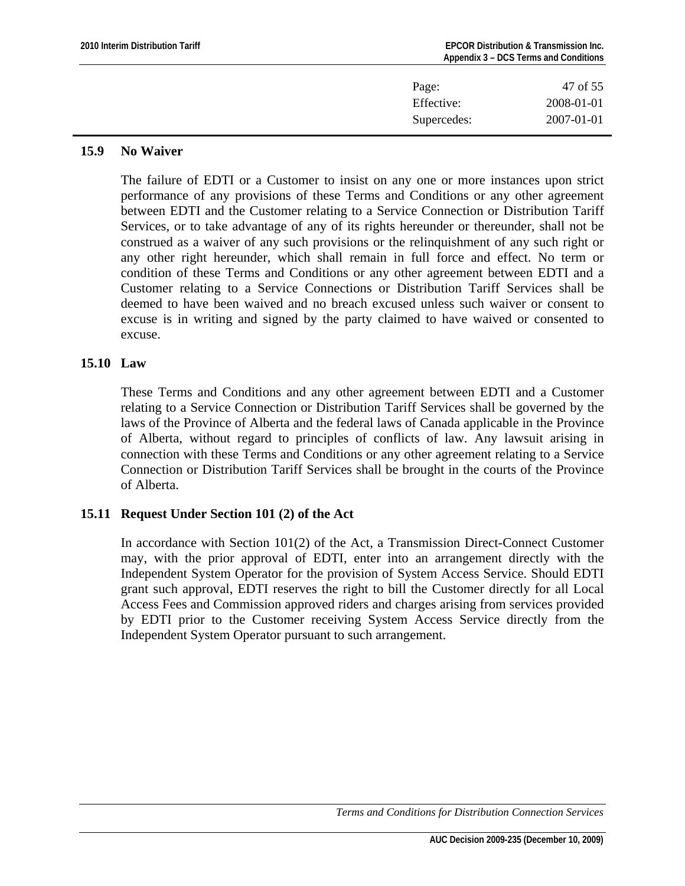<span id="page-46-0"></span>

| Page:       | 47 of 55   |
|-------------|------------|
| Effective:  | 2008-01-01 |
| Supercedes: | 2007-01-01 |
|             |            |

## **15.9 No Waiver**

The failure of EDTI or a Customer to insist on any one or more instances upon strict performance of any provisions of these Terms and Conditions or any other agreement between EDTI and the Customer relating to a Service Connection or Distribution Tariff Services, or to take advantage of any of its rights hereunder or thereunder, shall not be construed as a waiver of any such provisions or the relinquishment of any such right or any other right hereunder, which shall remain in full force and effect. No term or condition of these Terms and Conditions or any other agreement between EDTI and a Customer relating to a Service Connections or Distribution Tariff Services shall be deemed to have been waived and no breach excused unless such waiver or consent to excuse is in writing and signed by the party claimed to have waived or consented to excuse.

# **15.10 Law**

These Terms and Conditions and any other agreement between EDTI and a Customer relating to a Service Connection or Distribution Tariff Services shall be governed by the laws of the Province of Alberta and the federal laws of Canada applicable in the Province of Alberta, without regard to principles of conflicts of law. Any lawsuit arising in connection with these Terms and Conditions or any other agreement relating to a Service Connection or Distribution Tariff Services shall be brought in the courts of the Province of Alberta.

# **15.11 Request Under Section 101 (2) of the Act**

In accordance with Section 101(2) of the Act, a Transmission Direct-Connect Customer may, with the prior approval of EDTI, enter into an arrangement directly with the Independent System Operator for the provision of System Access Service. Should EDTI grant such approval, EDTI reserves the right to bill the Customer directly for all Local Access Fees and Commission approved riders and charges arising from services provided by EDTI prior to the Customer receiving System Access Service directly from the Independent System Operator pursuant to such arrangement.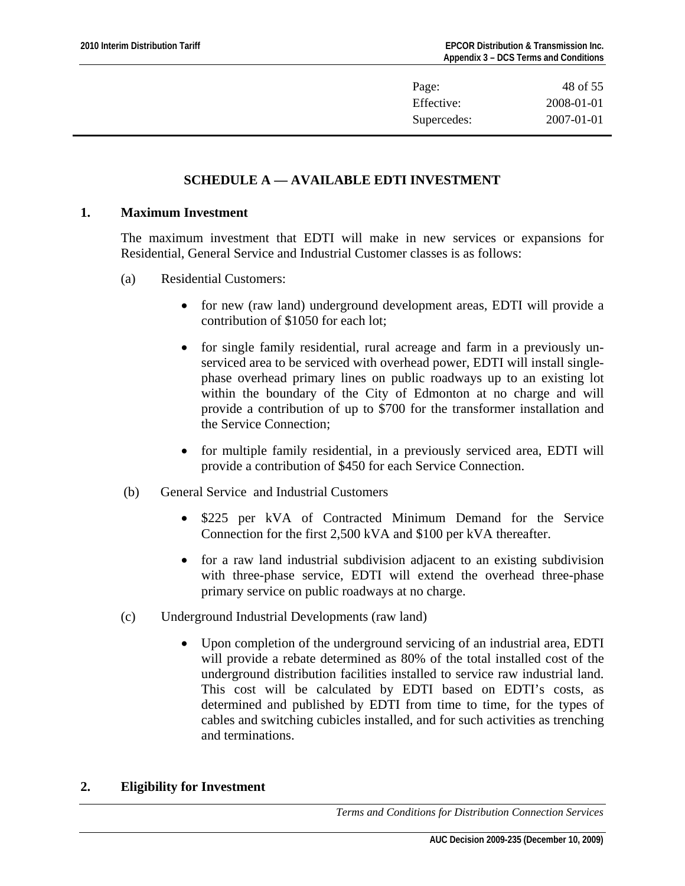| Page:       | 48 of 55   |
|-------------|------------|
| Effective:  | 2008-01-01 |
| Supercedes: | 2007-01-01 |

# **SCHEDULE A — AVAILABLE EDTI INVESTMENT**

#### <span id="page-47-0"></span>**1. Maximum Investment**

The maximum investment that EDTI will make in new services or expansions for Residential, General Service and Industrial Customer classes is as follows:

- (a) Residential Customers:
	- for new (raw land) underground development areas, EDTI will provide a contribution of \$1050 for each lot;
	- for single family residential, rural acreage and farm in a previously unserviced area to be serviced with overhead power, EDTI will install singlephase overhead primary lines on public roadways up to an existing lot within the boundary of the City of Edmonton at no charge and will provide a contribution of up to \$700 for the transformer installation and the Service Connection;
	- for multiple family residential, in a previously serviced area, EDTI will provide a contribution of \$450 for each Service Connection.
- (b) General Service and Industrial Customers
	- \$225 per kVA of Contracted Minimum Demand for the Service Connection for the first 2,500 kVA and \$100 per kVA thereafter.
	- for a raw land industrial subdivision adjacent to an existing subdivision with three-phase service, EDTI will extend the overhead three-phase primary service on public roadways at no charge.
- (c) Underground Industrial Developments (raw land)
	- Upon completion of the underground servicing of an industrial area, EDTI will provide a rebate determined as 80% of the total installed cost of the underground distribution facilities installed to service raw industrial land. This cost will be calculated by EDTI based on EDTI's costs, as determined and published by EDTI from time to time, for the types of cables and switching cubicles installed, and for such activities as trenching and terminations.

#### **2. Eligibility for Investment**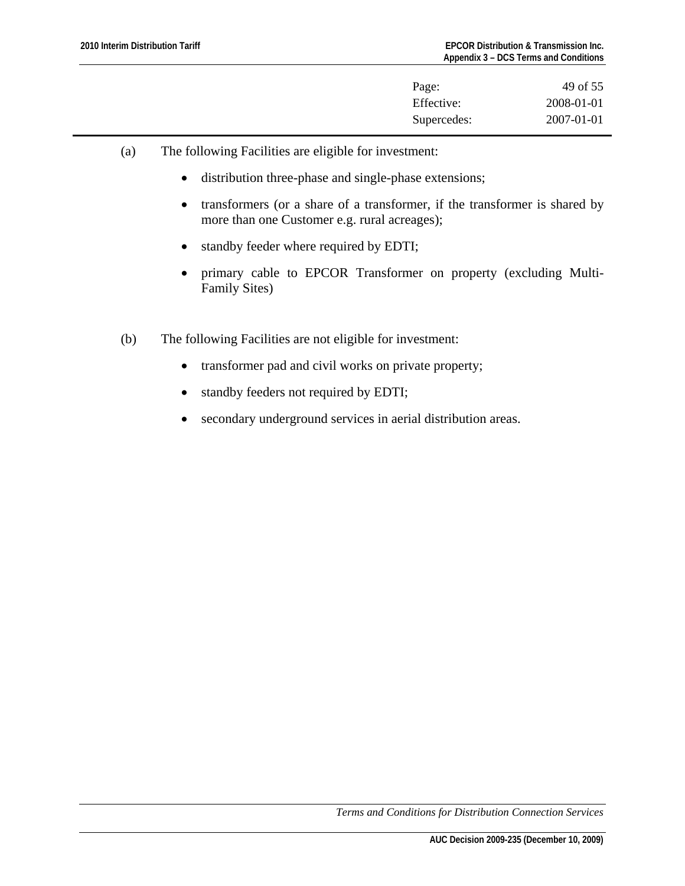| Page:       | 49 of 55   |
|-------------|------------|
| Effective:  | 2008-01-01 |
| Supercedes: | 2007-01-01 |

- (a) The following Facilities are eligible for investment:
	- distribution three-phase and single-phase extensions;
	- transformers (or a share of a transformer, if the transformer is shared by more than one Customer e.g. rural acreages);
	- standby feeder where required by EDTI;
	- primary cable to EPCOR Transformer on property (excluding Multi-Family Sites)
- (b) The following Facilities are not eligible for investment:
	- transformer pad and civil works on private property;
	- standby feeders not required by EDTI;
	- secondary underground services in aerial distribution areas.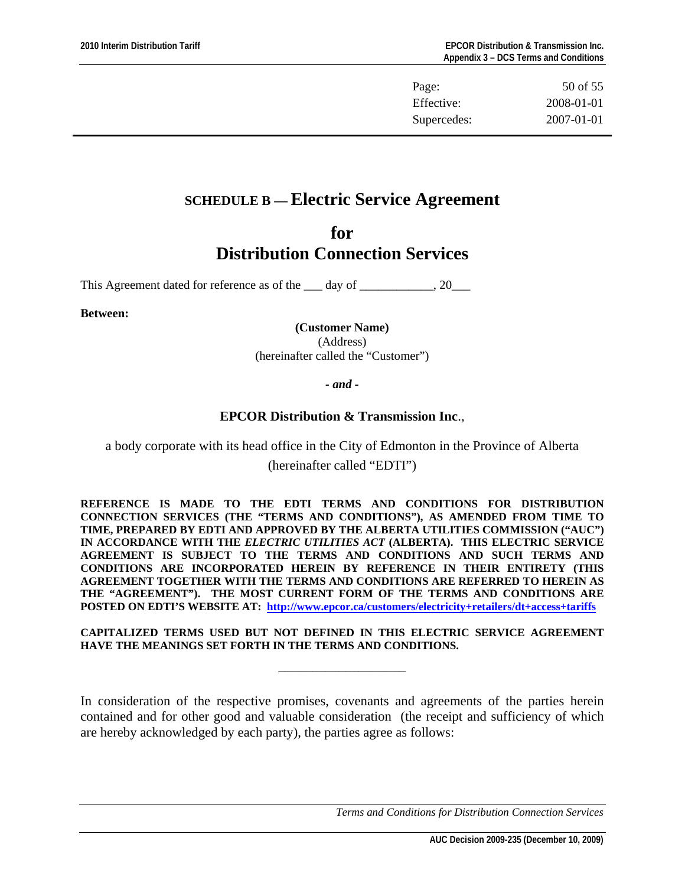| Page:       | 50 of 55         |
|-------------|------------------|
| Effective:  | 2008-01-01       |
| Supercedes: | $2007 - 01 - 01$ |

# <span id="page-49-0"></span>**SCHEDULE B — Electric Service Agreement**

# **for Distribution Connection Services**

This Agreement dated for reference as of the 1 day of 1, 20

**Between:** 

**(Customer Name)**  (Address) (hereinafter called the "Customer")

*- and -* 

# **EPCOR Distribution & Transmission Inc**.,

a body corporate with its head office in the City of Edmonton in the Province of Alberta (hereinafter called "EDTI")

**REFERENCE IS MADE TO THE EDTI TERMS AND CONDITIONS FOR DISTRIBUTION CONNECTION SERVICES (THE "TERMS AND CONDITIONS"), AS AMENDED FROM TIME TO TIME, PREPARED BY EDTI AND APPROVED BY THE ALBERTA UTILITIES COMMISSION ("AUC") IN ACCORDANCE WITH THE** *ELECTRIC UTILITIES ACT* **(ALBERTA). THIS ELECTRIC SERVICE AGREEMENT IS SUBJECT TO THE TERMS AND CONDITIONS AND SUCH TERMS AND CONDITIONS ARE INCORPORATED HEREIN BY REFERENCE IN THEIR ENTIRETY (THIS AGREEMENT TOGETHER WITH THE TERMS AND CONDITIONS ARE REFERRED TO HEREIN AS THE "AGREEMENT"). THE MOST CURRENT FORM OF THE TERMS AND CONDITIONS ARE POSTED ON EDTI'S WEBSITE AT: <http://www.epcor.ca/customers/electricity+retailers/dt+access+tariffs>**

**CAPITALIZED TERMS USED BUT NOT DEFINED IN THIS ELECTRIC SERVICE AGREEMENT HAVE THE MEANINGS SET FORTH IN THE TERMS AND CONDITIONS.** 

\_\_\_\_\_\_\_\_\_\_\_\_\_\_\_\_\_\_\_

In consideration of the respective promises, covenants and agreements of the parties herein contained and for other good and valuable consideration (the receipt and sufficiency of which are hereby acknowledged by each party), the parties agree as follows: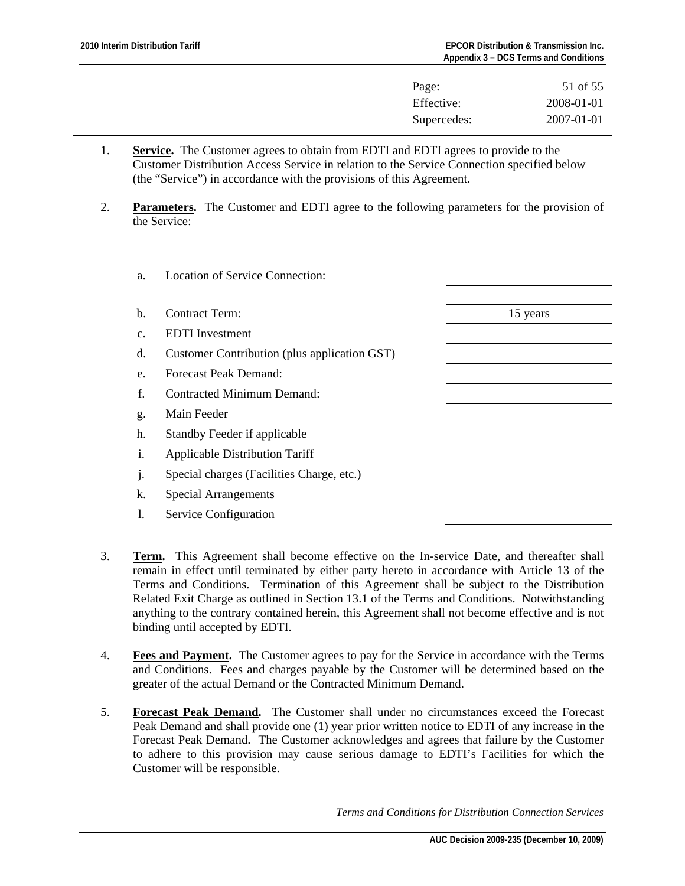| Page:       | 51 of 55         |
|-------------|------------------|
| Effective:  | 2008-01-01       |
| Supercedes: | $2007 - 01 - 01$ |

- 1. **Service.** The Customer agrees to obtain from EDTI and EDTI agrees to provide to the Customer Distribution Access Service in relation to the Service Connection specified below (the "Service") in accordance with the provisions of this Agreement.
- 2. **Parameters.** The Customer and EDTI agree to the following parameters for the provision of the Service:

| a.      | <b>Location of Service Connection:</b>       |          |
|---------|----------------------------------------------|----------|
| b.      | <b>Contract Term:</b>                        | 15 years |
| c.      | <b>EDTI</b> Investment                       |          |
| d.      | Customer Contribution (plus application GST) |          |
| e.      | Forecast Peak Demand:                        |          |
| f.      | <b>Contracted Minimum Demand:</b>            |          |
| g.      | Main Feeder                                  |          |
| h.      | Standby Feeder if applicable                 |          |
| i.      | <b>Applicable Distribution Tariff</b>        |          |
| $\cdot$ | Special charges (Facilities Charge, etc.)    |          |
| k.      | <b>Special Arrangements</b>                  |          |
| 1.      | Service Configuration                        |          |
|         |                                              |          |

- 3. **Term.** This Agreement shall become effective on the In-service Date, and thereafter shall remain in effect until terminated by either party hereto in accordance with Article 13 of the Terms and Conditions. Termination of this Agreement shall be subject to the Distribution Related Exit Charge as outlined in Section 13.1 of the Terms and Conditions. Notwithstanding anything to the contrary contained herein, this Agreement shall not become effective and is not binding until accepted by EDTI.
- 4. **Fees and Payment.** The Customer agrees to pay for the Service in accordance with the Terms and Conditions. Fees and charges payable by the Customer will be determined based on the greater of the actual Demand or the Contracted Minimum Demand.
- 5. **Forecast Peak Demand.** The Customer shall under no circumstances exceed the Forecast Peak Demand and shall provide one (1) year prior written notice to EDTI of any increase in the Forecast Peak Demand. The Customer acknowledges and agrees that failure by the Customer to adhere to this provision may cause serious damage to EDTI's Facilities for which the Customer will be responsible.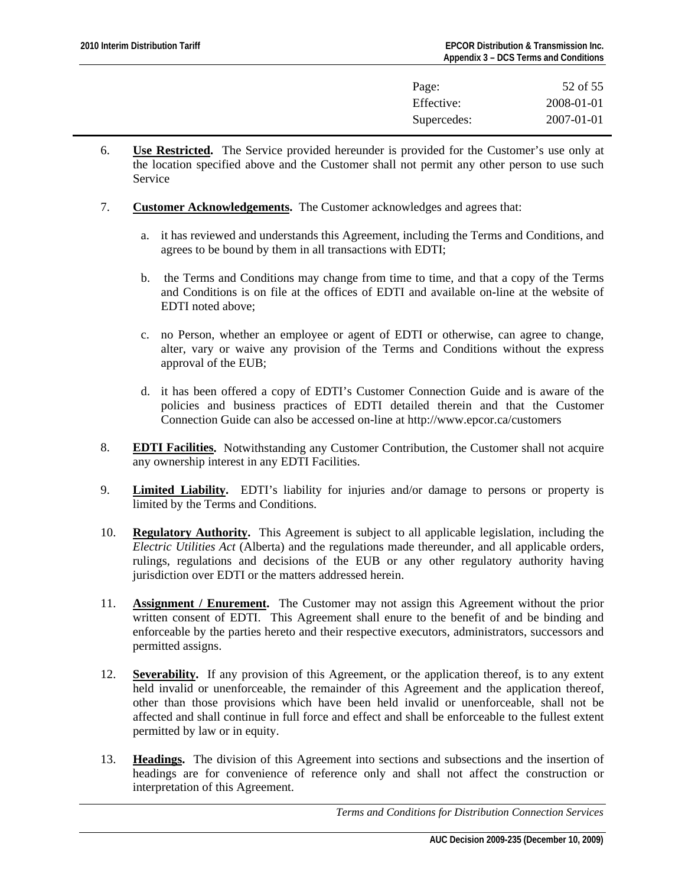| Page:       | 52 of 55         |
|-------------|------------------|
| Effective:  | 2008-01-01       |
| Supercedes: | $2007 - 01 - 01$ |

- 6. **Use Restricted.** The Service provided hereunder is provided for the Customer's use only at the location specified above and the Customer shall not permit any other person to use such Service
- 7. **Customer Acknowledgements.** The Customer acknowledges and agrees that:
	- a. it has reviewed and understands this Agreement, including the Terms and Conditions, and agrees to be bound by them in all transactions with EDTI;
	- b. the Terms and Conditions may change from time to time, and that a copy of the Terms and Conditions is on file at the offices of EDTI and available on-line at the website of EDTI noted above;
	- c. no Person, whether an employee or agent of EDTI or otherwise, can agree to change, alter, vary or waive any provision of the Terms and Conditions without the express approval of the EUB;
	- d. it has been offered a copy of EDTI's Customer Connection Guide and is aware of the policies and business practices of EDTI detailed therein and that the Customer Connection Guide can also be accessed on-line at http://www.epcor.ca/customers
- 8. **EDTI Facilities.** Notwithstanding any Customer Contribution, the Customer shall not acquire any ownership interest in any EDTI Facilities.
- 9. **Limited Liability.** EDTI's liability for injuries and/or damage to persons or property is limited by the Terms and Conditions.
- 10. **Regulatory Authority.** This Agreement is subject to all applicable legislation, including the *Electric Utilities Act* (Alberta) and the regulations made thereunder, and all applicable orders, rulings, regulations and decisions of the EUB or any other regulatory authority having jurisdiction over EDTI or the matters addressed herein.
- 11. **Assignment / Enurement.** The Customer may not assign this Agreement without the prior written consent of EDTI. This Agreement shall enure to the benefit of and be binding and enforceable by the parties hereto and their respective executors, administrators, successors and permitted assigns.
- 12. **Severability.** If any provision of this Agreement, or the application thereof, is to any extent held invalid or unenforceable, the remainder of this Agreement and the application thereof, other than those provisions which have been held invalid or unenforceable, shall not be affected and shall continue in full force and effect and shall be enforceable to the fullest extent permitted by law or in equity.
- 13. **Headings.** The division of this Agreement into sections and subsections and the insertion of headings are for convenience of reference only and shall not affect the construction or interpretation of this Agreement.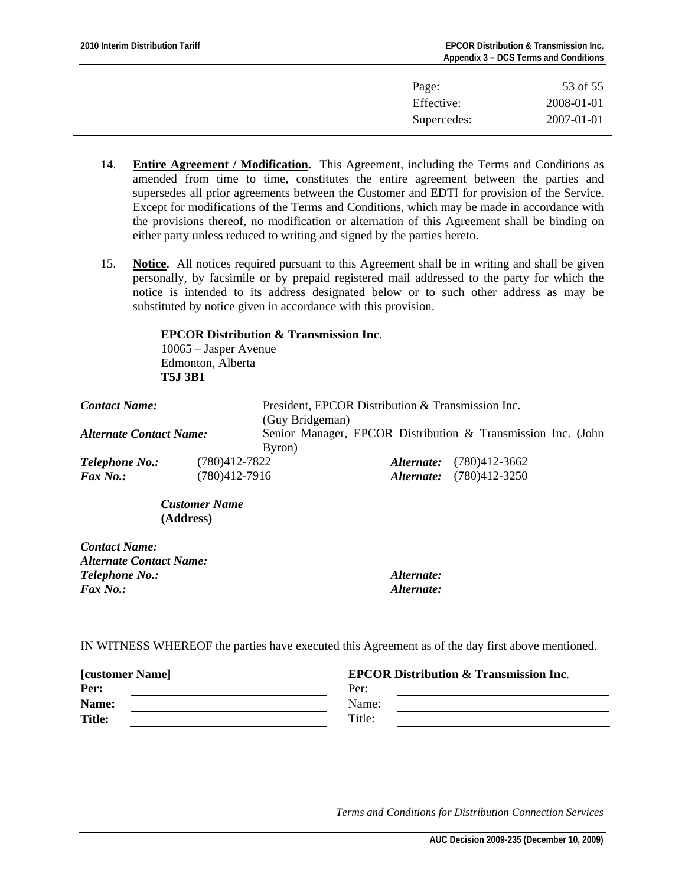| Page:       | 53 of 55   |
|-------------|------------|
| Effective:  | 2008-01-01 |
| Supercedes: | 2007-01-01 |

- 14. **Entire Agreement / Modification.** This Agreement, including the Terms and Conditions as amended from time to time, constitutes the entire agreement between the parties and supersedes all prior agreements between the Customer and EDTI for provision of the Service. Except for modifications of the Terms and Conditions, which may be made in accordance with the provisions thereof, no modification or alternation of this Agreement shall be binding on either party unless reduced to writing and signed by the parties hereto.
- 15. **Notice.** All notices required pursuant to this Agreement shall be in writing and shall be given personally, by facsimile or by prepaid registered mail addressed to the party for which the notice is intended to its address designated below or to such other address as may be substituted by notice given in accordance with this provision.

 **EPCOR Distribution & Transmission Inc**. 10065 – Jasper Avenue Edmonton, Alberta  **T5J 3B1**

| <b>Contact Name:</b>                     |                                        | President, EPCOR Distribution & Transmission Inc.<br>(Guy Bridgeman) |                                                                    |  |
|------------------------------------------|----------------------------------------|----------------------------------------------------------------------|--------------------------------------------------------------------|--|
| <b>Alternate Contact Name:</b><br>Byron) |                                        |                                                                      | Senior Manager, EPCOR Distribution & Transmission Inc. (John       |  |
| <b>Telephone No.:</b><br><b>Fax No.:</b> | $(780)412 - 7822$<br>$(780)412 - 7916$ |                                                                      | <b>Alternate:</b> (780)412-3662<br><b>Alternate:</b> (780)412-3250 |  |

*Customer Name*  **(Address)** 

| Alternate: |
|------------|
| Alternate: |
|            |

IN WITNESS WHEREOF the parties have executed this Agreement as of the day first above mentioned.

| <b>[customer Name]</b> | <b>EPCOR Distribution &amp; Transmission Inc.</b> |  |
|------------------------|---------------------------------------------------|--|
| Per:                   | Per:                                              |  |
| Name:                  | Name:                                             |  |
| <b>Title:</b>          | Title:                                            |  |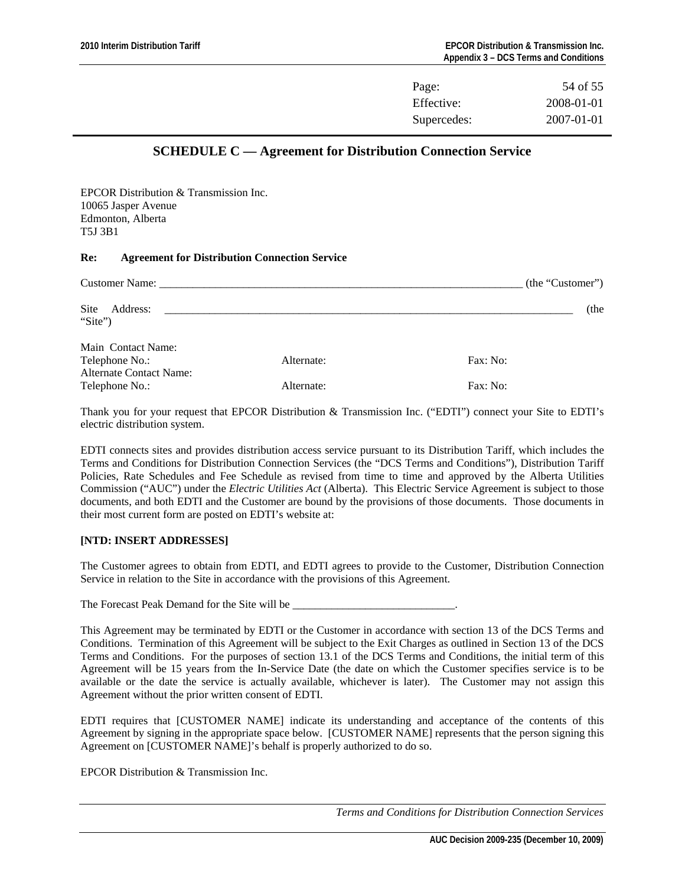| Page:       | 54 of 55         |
|-------------|------------------|
| Effective:  | 2008-01-01       |
| Supercedes: | $2007 - 01 - 01$ |

## **SCHEDULE C — Agreement for Distribution Connection Service**

<span id="page-53-0"></span>EPCOR Distribution & Transmission Inc. 10065 Jasper Avenue Edmonton, Alberta T5J 3B1

#### **Re: Agreement for Distribution Connection Service**

|                                                                        |            | (the "Customer") |
|------------------------------------------------------------------------|------------|------------------|
| Site<br>Address:<br>"Site")                                            |            | (the             |
| Main Contact Name:<br>Telephone No.:<br><b>Alternate Contact Name:</b> | Alternate: | Fax: No:         |
| Telephone No.:                                                         | Alternate: | Fax: No:         |

Thank you for your request that EPCOR Distribution & Transmission Inc. ("EDTI") connect your Site to EDTI's electric distribution system.

EDTI connects sites and provides distribution access service pursuant to its Distribution Tariff, which includes the Terms and Conditions for Distribution Connection Services (the "DCS Terms and Conditions"), Distribution Tariff Policies, Rate Schedules and Fee Schedule as revised from time to time and approved by the Alberta Utilities Commission ("AUC") under the *Electric Utilities Act* (Alberta). This Electric Service Agreement is subject to those documents, and both EDTI and the Customer are bound by the provisions of those documents. Those documents in their most current form are posted on EDTI's website at:

#### **[NTD: INSERT ADDRESSES]**

The Customer agrees to obtain from EDTI, and EDTI agrees to provide to the Customer, Distribution Connection Service in relation to the Site in accordance with the provisions of this Agreement.

The Forecast Peak Demand for the Site will be

This Agreement may be terminated by EDTI or the Customer in accordance with section 13 of the DCS Terms and Conditions. Termination of this Agreement will be subject to the Exit Charges as outlined in Section 13 of the DCS Terms and Conditions. For the purposes of section 13.1 of the DCS Terms and Conditions, the initial term of this Agreement will be 15 years from the In-Service Date (the date on which the Customer specifies service is to be available or the date the service is actually available, whichever is later). The Customer may not assign this Agreement without the prior written consent of EDTI.

EDTI requires that [CUSTOMER NAME] indicate its understanding and acceptance of the contents of this Agreement by signing in the appropriate space below. [CUSTOMER NAME] represents that the person signing this Agreement on [CUSTOMER NAME]'s behalf is properly authorized to do so.

EPCOR Distribution & Transmission Inc.